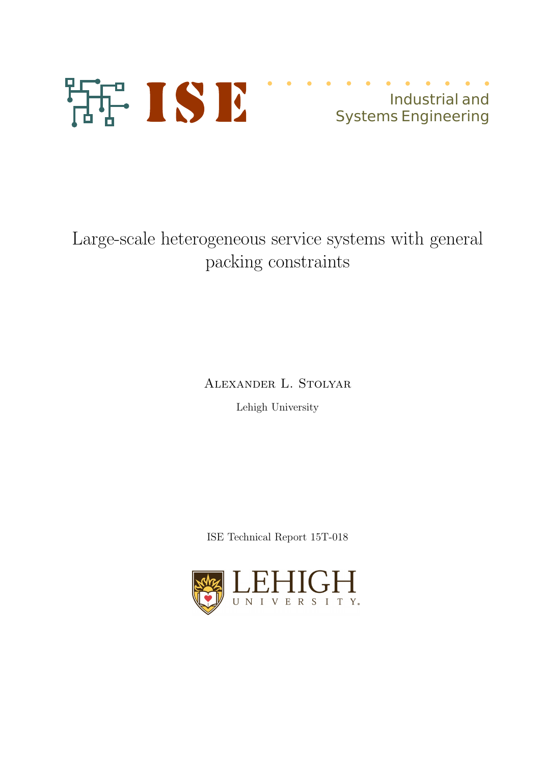

Industrial and Systems Engineering

# Large-scale heterogeneous service systems with general packing constraints

Alexander L. Stolyar

Lehigh University

ISE Technical Report 15T-018

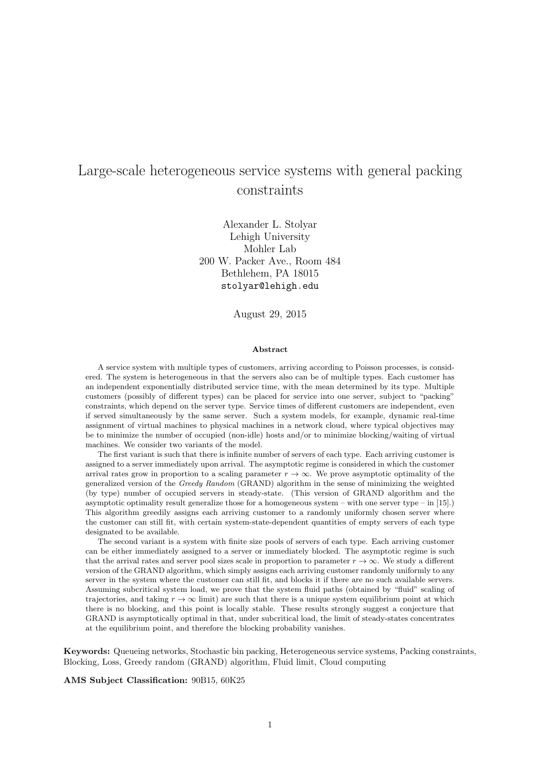# Large-scale heterogeneous service systems with general packing constraints

Alexander L. Stolyar Lehigh University Mohler Lab 200 W. Packer Ave., Room 484 Bethlehem, PA 18015 stolyar@lehigh.edu

August 29, 2015

#### Abstract

A service system with multiple types of customers, arriving according to Poisson processes, is considered. The system is heterogeneous in that the servers also can be of multiple types. Each customer has an independent exponentially distributed service time, with the mean determined by its type. Multiple customers (possibly of different types) can be placed for service into one server, subject to "packing" constraints, which depend on the server type. Service times of different customers are independent, even if served simultaneously by the same server. Such a system models, for example, dynamic real-time assignment of virtual machines to physical machines in a network cloud, where typical objectives may be to minimize the number of occupied (non-idle) hosts and/or to minimize blocking/waiting of virtual machines. We consider two variants of the model.

The first variant is such that there is infinite number of servers of each type. Each arriving customer is assigned to a server immediately upon arrival. The asymptotic regime is considered in which the customer arrival rates grow in proportion to a scaling parameter  $r \to \infty$ . We prove asymptotic optimality of the generalized version of the Greedy Random (GRAND) algorithm in the sense of minimizing the weighted (by type) number of occupied servers in steady-state. (This version of GRAND algorithm and the asymptotic optimality result generalize those for a homogeneous system – with one server type – in  $[15]$ .) This algorithm greedily assigns each arriving customer to a randomly uniformly chosen server where the customer can still fit, with certain system-state-dependent quantities of empty servers of each type designated to be available.

The second variant is a system with finite size pools of servers of each type. Each arriving customer can be either immediately assigned to a server or immediately blocked. The asymptotic regime is such that the arrival rates and server pool sizes scale in proportion to parameter  $r \to \infty$ . We study a different version of the GRAND algorithm, which simply assigns each arriving customer randomly uniformly to any server in the system where the customer can still fit, and blocks it if there are no such available servers. Assuming subcritical system load, we prove that the system fluid paths (obtained by "fluid" scaling of trajectories, and taking  $r \to \infty$  limit) are such that there is a unique system equilibrium point at which there is no blocking, and this point is locally stable. These results strongly suggest a conjecture that GRAND is asymptotically optimal in that, under subcritical load, the limit of steady-states concentrates at the equilibrium point, and therefore the blocking probability vanishes.

Keywords: Queueing networks, Stochastic bin packing, Heterogeneous service systems, Packing constraints, Blocking, Loss, Greedy random (GRAND) algorithm, Fluid limit, Cloud computing

AMS Subject Classification: 90B15, 60K25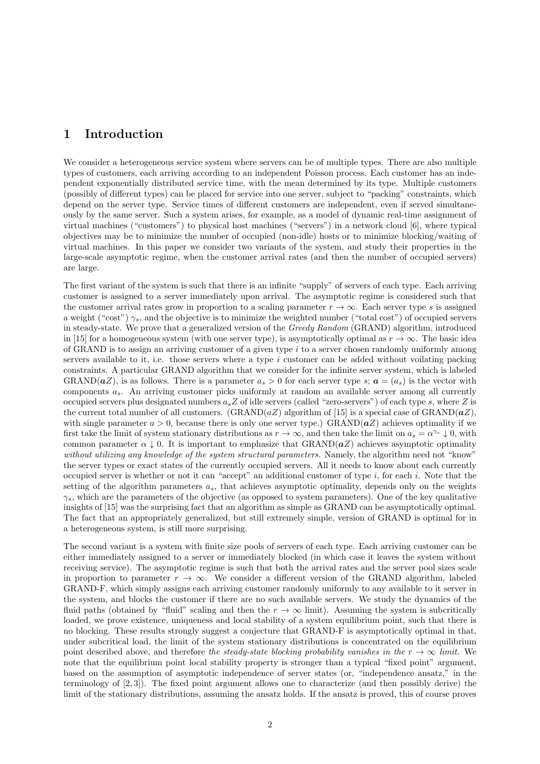# 1 Introduction

We consider a heterogeneous service system where servers can be of multiple types. There are also multiple types of customers, each arriving according to an independent Poisson process. Each customer has an independent exponentially distributed service time, with the mean determined by its type. Multiple customers (possibly of different types) can be placed for service into one server, subject to "packing" constraints, which depend on the server type. Service times of different customers are independent, even if served simultaneously by the same server. Such a system arises, for example, as a model of dynamic real-time assignment of virtual machines ("customers") to physical host machines ("servers") in a network cloud [6], where typical objectives may be to minimize the number of occupied (non-idle) hosts or to minimize blocking/waiting of virtual machines. In this paper we consider two variants of the system, and study their properties in the large-scale asymptotic regime, when the customer arrival rates (and then the number of occupied servers) are large.

The first variant of the system is such that there is an infinite "supply" of servers of each type. Each arriving customer is assigned to a server immediately upon arrival. The asymptotic regime is considered such that the customer arrival rates grow in proportion to a scaling parameter  $r \to \infty$ . Each server type s is assigned a weight ("cost")  $\gamma_s$ , and the objective is to minimize the weighted number ("total cost") of occupied servers in steady-state. We prove that a generalized version of the Greedy Random (GRAND) algorithm, introduced in [15] for a homogeneous system (with one server type), is asymptotically optimal as  $r \to \infty$ . The basic idea of GRAND is to assign an arriving customer of a given type i to a server chosen randomly uniformly among servers available to it, i.e. those servers where a type i customer can be added without voilating packing constraints. A particular GRAND algorithm that we consider for the infinite server system, which is labeled GRAND( $aZ$ ), is as follows. There is a parameter  $a_s > 0$  for each server type s;  $a = (a_s)$  is the vector with components  $a_s$ . An arriving customer picks uniformly at random an available server among all currently occupied servers plus designated numbers  $a_s Z$  of idle servers (called "zero-servers") of each type s, where Z is the current total number of all customers.  $(GRAND(aZ)$  algorithm of [15] is a special case of  $GRAND(aZ)$ , with single parameter  $a > 0$ , because there is only one server type.) GRAND( $aZ$ ) achieves optimality if we first take the limit of system stationary distributions as  $r \to \infty$ , and then take the limit on  $a_s = \alpha^{\gamma_s} \downarrow 0$ , with common parameter  $\alpha \downarrow 0$ . It is important to emphasize that GRAND( $aZ$ ) achieves asymptotic optimality without utilizing any knowledge of the system structural parameters. Namely, the algorithm need not "know" the server types or exact states of the currently occupied servers. All it needs to know about each currently occupied server is whether or not it can "accept" an additional customer of type  $i$ , for each  $i$ . Note that the setting of the algorithm parameters  $a_s$ , that achieves asymptotic optimality, depends only on the weights  $\gamma_s$ , which are the parameters of the objective (as opposed to system parameters). One of the key qualitative insights of [15] was the surprising fact that an algorithm as simple as GRAND can be asymptotically optimal. The fact that an appropriately generalized, but still extremely simple, version of GRAND is optimal for in a heterogeneous system, is still more surprising.

The second variant is a system with finite size pools of servers of each type. Each arriving customer can be either immediately assigned to a server or immediately blocked (in which case it leaves the system without receiving service). The asymptotic regime is such that both the arrival rates and the server pool sizes scale in proportion to parameter  $r \to \infty$ . We consider a different version of the GRAND algorithm, labeled GRAND-F, which simply assigns each arriving customer randomly uniformly to any available to it server in the system, and blocks the customer if there are no such available servers. We study the dynamics of the fluid paths (obtained by "fluid" scaling and then the  $r \to \infty$  limit). Assuming the system is subcritically loaded, we prove existence, uniqueness and local stability of a system equilibrium point, such that there is no blocking. These results strongly suggest a conjecture that GRAND-F is asymptotically optimal in that, under subcritical load, the limit of the system stationary distributions is concentrated on the equilibrium point described above, and therefore the steady-state blocking probability vanishes in the  $r \to \infty$  limit. We note that the equilibrium point local stability property is stronger than a typical "fixed point" argument, based on the assumption of asymptotic independence of server states (or, "independence ansatz," in the terminology of [2, 3]). The fixed point argument allows one to characterize (and then possibly derive) the limit of the stationary distributions, assuming the ansatz holds. If the ansatz is proved, this of course proves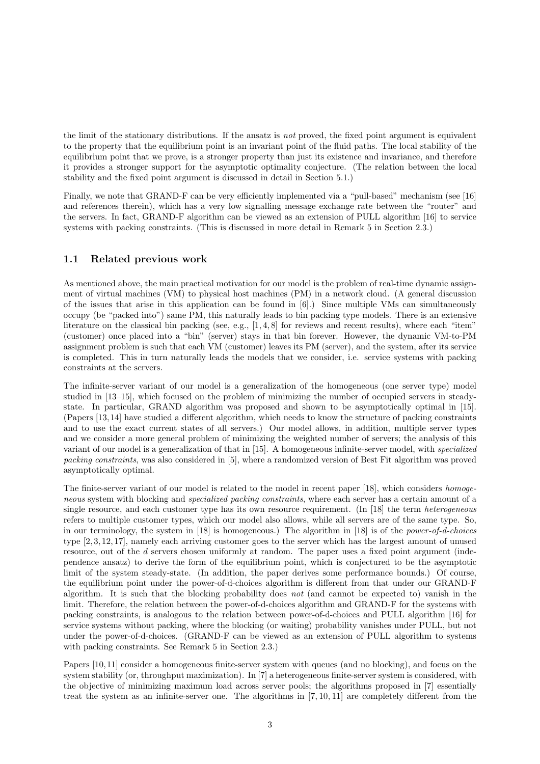the limit of the stationary distributions. If the ansatz is not proved, the fixed point argument is equivalent to the property that the equilibrium point is an invariant point of the fluid paths. The local stability of the equilibrium point that we prove, is a stronger property than just its existence and invariance, and therefore it provides a stronger support for the asymptotic optimality conjecture. (The relation between the local stability and the fixed point argument is discussed in detail in Section 5.1.)

Finally, we note that GRAND-F can be very efficiently implemented via a "pull-based" mechanism (see [16] and references therein), which has a very low signalling message exchange rate between the "router" and the servers. In fact, GRAND-F algorithm can be viewed as an extension of PULL algorithm [16] to service systems with packing constraints. (This is discussed in more detail in Remark 5 in Section 2.3.)

#### 1.1 Related previous work

As mentioned above, the main practical motivation for our model is the problem of real-time dynamic assignment of virtual machines (VM) to physical host machines (PM) in a network cloud. (A general discussion of the issues that arise in this application can be found in [6].) Since multiple VMs can simultaneously occupy (be "packed into") same PM, this naturally leads to bin packing type models. There is an extensive literature on the classical bin packing (see, e.g., [1, 4, 8] for reviews and recent results), where each "item" (customer) once placed into a "bin" (server) stays in that bin forever. However, the dynamic VM-to-PM assignment problem is such that each VM (customer) leaves its PM (server), and the system, after its service is completed. This in turn naturally leads the models that we consider, i.e. service systems with packing constraints at the servers.

The infinite-server variant of our model is a generalization of the homogeneous (one server type) model studied in [13–15], which focused on the problem of minimizing the number of occupied servers in steadystate. In particular, GRAND algorithm was proposed and shown to be asymptotically optimal in [15]. (Papers [13, 14] have studied a different algorithm, which needs to know the structure of packing constraints and to use the exact current states of all servers.) Our model allows, in addition, multiple server types and we consider a more general problem of minimizing the weighted number of servers; the analysis of this variant of our model is a generalization of that in [15]. A homogeneous infinite-server model, with specialized packing constraints, was also considered in [5], where a randomized version of Best Fit algorithm was proved asymptotically optimal.

The finite-server variant of our model is related to the model in recent paper [18], which considers homogeneous system with blocking and specialized packing constraints, where each server has a certain amount of a single resource, and each customer type has its own resource requirement. (In [18] the term *heterogeneous* refers to multiple customer types, which our model also allows, while all servers are of the same type. So, in our terminology, the system in [18] is homogeneous.) The algorithm in [18] is of the power-of-d-choices type [2, 3, 12, 17], namely each arriving customer goes to the server which has the largest amount of unused resource, out of the d servers chosen uniformly at random. The paper uses a fixed point argument (independence ansatz) to derive the form of the equilibrium point, which is conjectured to be the asymptotic limit of the system steady-state. (In addition, the paper derives some performance bounds.) Of course, the equilibrium point under the power-of-d-choices algorithm is different from that under our GRAND-F algorithm. It is such that the blocking probability does not (and cannot be expected to) vanish in the limit. Therefore, the relation between the power-of-d-choices algorithm and GRAND-F for the systems with packing constraints, is analogous to the relation between power-of-d-choices and PULL algorithm [16] for service systems without packing, where the blocking (or waiting) probability vanishes under PULL, but not under the power-of-d-choices. (GRAND-F can be viewed as an extension of PULL algorithm to systems with packing constraints. See Remark 5 in Section 2.3.)

Papers [10, 11] consider a homogeneous finite-server system with queues (and no blocking), and focus on the system stability (or, throughput maximization). In [7] a heterogeneous finite-server system is considered, with the objective of minimizing maximum load across server pools; the algorithms proposed in [7] essentially treat the system as an infinite-server one. The algorithms in [7, 10, 11] are completely different from the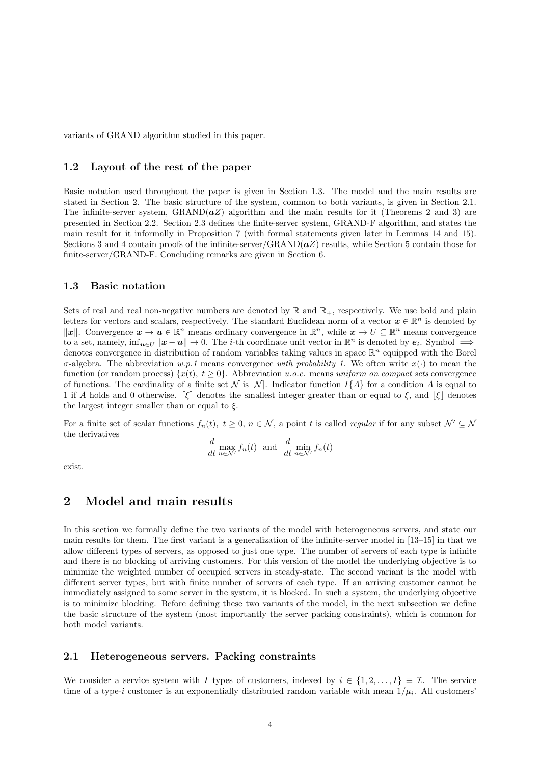variants of GRAND algorithm studied in this paper.

#### 1.2 Layout of the rest of the paper

Basic notation used throughout the paper is given in Section 1.3. The model and the main results are stated in Section 2. The basic structure of the system, common to both variants, is given in Section 2.1. The infinite-server system,  $\text{GRAND}(aZ)$  algorithm and the main results for it (Theorems 2 and 3) are presented in Section 2.2. Section 2.3 defines the finite-server system, GRAND-F algorithm, and states the main result for it informally in Proposition 7 (with formal statements given later in Lemmas 14 and 15). Sections 3 and 4 contain proofs of the infinite-server/GRAND( $aZ$ ) results, while Section 5 contain those for finite-server/GRAND-F. Concluding remarks are given in Section 6.

#### 1.3 Basic notation

Sets of real and real non-negative numbers are denoted by  $\mathbb R$  and  $\mathbb R_+$ , respectively. We use bold and plain letters for vectors and scalars, respectively. The standard Euclidean norm of a vector  $\mathbf{x} \in \mathbb{R}^n$  is denoted by  $\|\boldsymbol{x}\|$ . Convergence  $\boldsymbol{x} \to \boldsymbol{u} \in \mathbb{R}^n$  means ordinary convergence in  $\mathbb{R}^n$ , while  $\boldsymbol{x} \to U \subseteq \mathbb{R}^n$  means convergence to a set, namely,  $\inf_{u \in U} ||x - u|| \to 0$ . The *i*-th coordinate unit vector in  $\mathbb{R}^n$  is denoted by  $e_i$ . Symbol  $\implies$ denotes convergence in distribution of random variables taking values in space  $\mathbb{R}^n$  equipped with the Borel σ-algebra. The abbreviation w.p.1 means convergence with probability 1. We often write  $x(·)$  to mean the function (or random process)  $\{x(t), t \geq 0\}$ . Abbreviation u.o.c. means uniform on compact sets convergence of functions. The cardinality of a finite set N is  $|N|$ . Indicator function I{A} for a condition A is equal to 1 if A holds and 0 otherwise.  $\lbrack \xi \rbrack$  denotes the smallest integer greater than or equal to  $\xi$ , and  $\lbrack \xi \rbrack$  denotes the largest integer smaller than or equal to  $\xi$ .

For a finite set of scalar functions  $f_n(t)$ ,  $t \geq 0$ ,  $n \in \mathcal{N}$ , a point t is called *regular* if for any subset  $\mathcal{N}' \subseteq \mathcal{N}$ the derivatives

$$
\frac{d}{dt} \max_{n \in \mathcal{N}'} f_n(t) \text{ and } \frac{d}{dt} \min_{n \in \mathcal{N}'} f_n(t)
$$

exist.

#### 2 Model and main results

In this section we formally define the two variants of the model with heterogeneous servers, and state our main results for them. The first variant is a generalization of the infinite-server model in [13–15] in that we allow different types of servers, as opposed to just one type. The number of servers of each type is infinite and there is no blocking of arriving customers. For this version of the model the underlying objective is to minimize the weighted number of occupied servers in steady-state. The second variant is the model with different server types, but with finite number of servers of each type. If an arriving customer cannot be immediately assigned to some server in the system, it is blocked. In such a system, the underlying objective is to minimize blocking. Before defining these two variants of the model, in the next subsection we define the basic structure of the system (most importantly the server packing constraints), which is common for both model variants.

#### 2.1 Heterogeneous servers. Packing constraints

We consider a service system with I types of customers, indexed by  $i \in \{1, 2, ..., I\} \equiv \mathcal{I}$ . The service time of a type-i customer is an exponentially distributed random variable with mean  $1/\mu_i$ . All customers'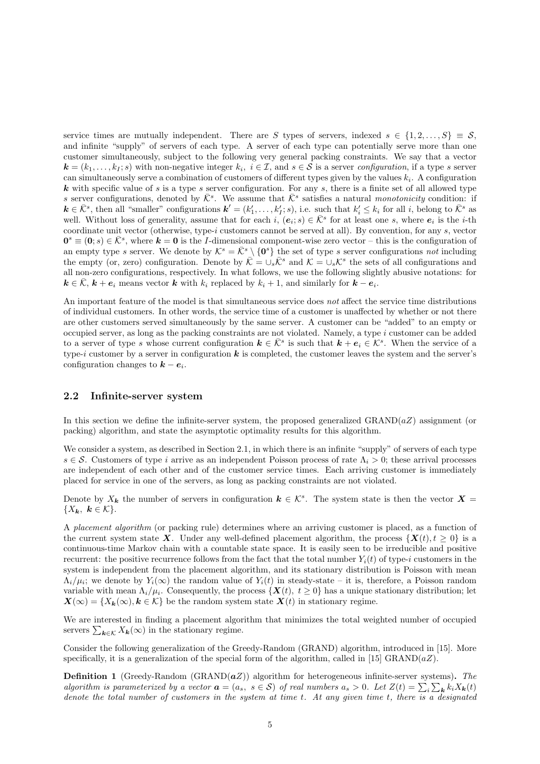service times are mutually independent. There are S types of servers, indexed  $s \in \{1, 2, ..., S\} \equiv S$ , and infinite "supply" of servers of each type. A server of each type can potentially serve more than one customer simultaneously, subject to the following very general packing constraints. We say that a vector  $\mathbf{k} = (k_1, \ldots, k_I; s)$  with non-negative integer  $k_i$ ,  $i \in \mathcal{I}$ , and  $s \in \mathcal{S}$  is a server configuration, if a type s server can simultaneously serve a combination of customers of different types given by the values  $k_i$ . A configuration **k** with specific value of s is a type s server configuration. For any s, there is a finite set of all allowed type s server configurations, denoted by  $\bar{\mathcal{K}}^s$ . We assume that  $\bar{\mathcal{K}}^s$  satisfies a natural monotonicity condition: if  $k \in \bar{\mathcal{K}}^s$ , then all "smaller" configurations  $k' = (k'_1, \ldots, k'_l; s)$ , i.e. such that  $k'_i \leq k_i$  for all i, belong to  $\bar{\mathcal{K}}^s$  as well. Without loss of generality, assume that for each  $i, (e_i; s) \in \overline{K}^s$  for at least one s, where  $e_i$  is the *i*-th coordinate unit vector (otherwise, type-i customers cannot be served at all). By convention, for any  $s$ , vector  $\mathbf{0}^s \equiv (\mathbf{0}; s) \in \bar{\mathcal{K}}^s$ , where  $\mathbf{k} = \mathbf{0}$  is the *I*-dimensional component-wise zero vector – this is the configuration of an empty type s server. We denote by  $\mathcal{K}^s = \bar{\mathcal{K}}^s \setminus \{0\}$  the set of type s server configurations not including the empty (or, zero) configuration. Denote by  $\overline{\mathcal{K}} = \bigcup_s \overline{\mathcal{K}}^s$  and  $\mathcal{K} = \bigcup_s \mathcal{K}^s$  the sets of all configurations and all non-zero configurations, respectively. In what follows, we use the following slightly abusive notations: for  $k \in \overline{K}$ ,  $k + e_i$  means vector k with  $k_i$  replaced by  $k_i + 1$ , and similarly for  $k - e_i$ .

An important feature of the model is that simultaneous service does not affect the service time distributions of individual customers. In other words, the service time of a customer is unaffected by whether or not there are other customers served simultaneously by the same server. A customer can be "added" to an empty or occupied server, as long as the packing constraints are not violated. Namely, a type  $i$  customer can be added to a server of type s whose current configuration  $k \in \overline{K}^s$  is such that  $k + e_i \in \mathcal{K}^s$ . When the service of a type-i customer by a server in configuration  $k$  is completed, the customer leaves the system and the server's configuration changes to  $k - e_i$ .

#### 2.2 Infinite-server system

In this section we define the infinite-server system, the proposed generalized GRAND( $aZ$ ) assignment (or packing) algorithm, and state the asymptotic optimality results for this algorithm.

We consider a system, as described in Section 2.1, in which there is an infinite "supply" of servers of each type  $s \in \mathcal{S}$ . Customers of type i arrive as an independent Poisson process of rate  $\Lambda_i > 0$ ; these arrival processes are independent of each other and of the customer service times. Each arriving customer is immediately placed for service in one of the servers, as long as packing constraints are not violated.

Denote by  $X_k$  the number of servers in configuration  $k \in \mathcal{K}^s$ . The system state is then the vector  $X =$  ${X_{k}, k \in \mathcal{K}}.$ 

A placement algorithm (or packing rule) determines where an arriving customer is placed, as a function of the current system state X. Under any well-defined placement algorithm, the process  $\{X(t), t \geq 0\}$  is a continuous-time Markov chain with a countable state space. It is easily seen to be irreducible and positive recurrent: the positive recurrence follows from the fact that the total number  $Y_i(t)$  of type-i customers in the system is independent from the placement algorithm, and its stationary distribution is Poisson with mean  $\Lambda_i/\mu_i$ ; we denote by  $Y_i(\infty)$  the random value of  $Y_i(t)$  in steady-state – it is, therefore, a Poisson random variable with mean  $\Lambda_i/\mu_i$ . Consequently, the process  $\{X(t), t \geq 0\}$  has a unique stationary distribution; let  $\mathbf{X}(\infty) = \{X_k(\infty), k \in \mathcal{K}\}\$ be the random system state  $\mathbf{X}(t)$  in stationary regime.

We are interested in finding a placement algorithm that minimizes the total weighted number of occupied servers  $\sum_{\mathbf{k}\in\mathcal{K}} X_{\mathbf{k}}(\infty)$  in the stationary regime.

Consider the following generalization of the Greedy-Random (GRAND) algorithm, introduced in [15]. More specifically, it is a generalization of the special form of the algorithm, called in [15] GRAND( $aZ$ ).

**Definition 1** (Greedy-Random (GRAND $(aZ)$ ) algorithm for heterogeneous infinite-server systems). The algorithm is parameterized by a vector  $\mathbf{a} = (a_s, s \in \mathcal{S})$  of real numbers  $a_s > 0$ . Let  $Z(t) = \sum_i \sum_{\mathbf{k}} k_i X_{\mathbf{k}}(t)$ denote the total number of customers in the system at time t. At any given time t, there is a designated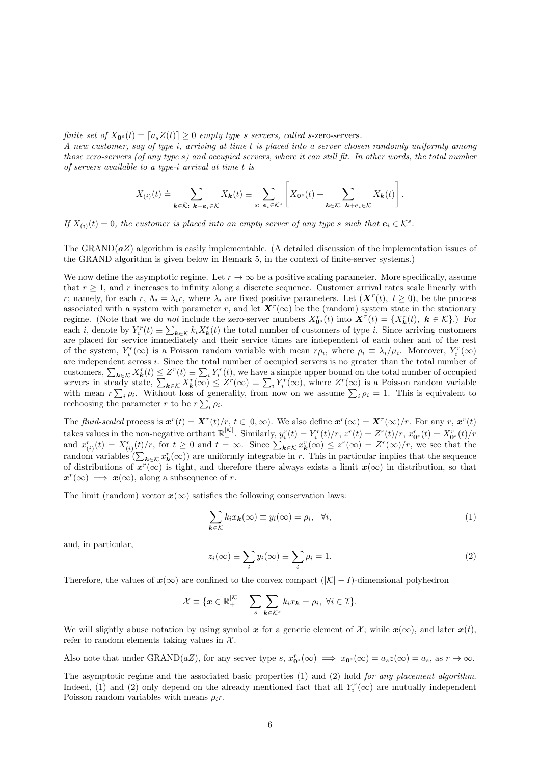finite set of  $X_{0^s}(t) = [a_s Z(t)] \geq 0$  empty type s servers, called s-zero-servers.

A new customer, say of type i, arriving at time t is placed into a server chosen randomly uniformly among those zero-servers (of any type s) and occupied servers, where it can still fit. In other words, the total number of servers available to a type-i arrival at time t is

$$
X_{(i)}(t) \doteq \sum_{\mathbf{k}\in\bar{\mathcal{K}}:\ \mathbf{k}+\mathbf{e}_i\in\mathcal{K}} X_{\mathbf{k}}(t) \equiv \sum_{s:\ e_i\in\mathcal{K}^s}\left[X_{\mathbf{0}^s}(t) + \sum_{\mathbf{k}\in\mathcal{K}:\ \mathbf{k}+\mathbf{e}_i\in\mathcal{K}} X_{\mathbf{k}}(t)\right].
$$

If  $X_{(i)}(t) = 0$ , the customer is placed into an empty server of any type s such that  $e_i \in \mathcal{K}^s$ .

The GRAND $(aZ)$  algorithm is easily implementable. (A detailed discussion of the implementation issues of the GRAND algorithm is given below in Remark 5, in the context of finite-server systems.)

We now define the asymptotic regime. Let  $r \to \infty$  be a positive scaling parameter. More specifically, assume that  $r \geq 1$ , and r increases to infinity along a discrete sequence. Customer arrival rates scale linearly with r; namely, for each r,  $\Lambda_i = \lambda_i r$ , where  $\lambda_i$  are fixed positive parameters. Let  $(\mathbf{X}^r(t), t \geq 0)$ , be the process associated with a system with parameter r, and let  $\mathbf{X}^r(\infty)$  be the (random) system state in the stationary regime. (Note that we do *not* include the zero-server numbers  $X_{\mathbf{0}^s}^r(t)$  into  $\mathbf{X}^r(t) = \{X_{\mathbf{k}}^r(t), \mathbf{k} \in \mathcal{K}\}\.$ ) For each *i*, denote by  $Y_i^r(t) \equiv \sum_{\mathbf{k}\in\mathcal{K}} k_i X_{\mathbf{k}}^r(t)$  the total number of customers of type *i*. Since arriving customers are placed for service immediately and their service times are independent of each other and of the rest of the system,  $Y_i^r(\infty)$  is a Poisson random variable with mean  $r\rho_i$ , where  $\rho_i \equiv \lambda_i/\mu_i$ . Moreover,  $Y_i^r(\infty)$ are independent across i. Since the total number of occupied servers is no greater than the total number of customers,  $\sum_{k \in \mathcal{K}} X_k^r(t) \leq Z^r(t) \equiv \sum_i Y_i^r(t)$ , we have a simple upper bound on the total number of occupied servers in steady state,  $\sum_{\mathbf{k}\in\mathcal{K}}X_{\mathbf{k}}^r(\infty) \leq Z^r(\infty) \equiv \sum_i Y_i^r(\infty)$ , where  $Z^r(\infty)$  is a Poisson random variable with mean  $r\sum_i \rho_i$ . Without loss of generality, from now on we assume  $\sum_i \rho_i = 1$ . This is equivalent to rechoosing the parameter r to be  $r \sum_i \rho_i$ .

The fluid-scaled process is  $\mathbf{x}^r(t) = \mathbf{X}^r(t)/r$ ,  $t \in [0,\infty)$ . We also define  $\mathbf{x}^r(\infty) = \mathbf{X}^r(\infty)/r$ . For any  $r, \mathbf{x}^r(t)$ takes values in the non-negative orthant  $\mathbb{R}^{|K|}_+$ . Similarly,  $y_i^r(t) = Y_i^r(t)/r$ ,  $z^r(t) = Z^r(t)/r$ ,  $x_{0s}^r(t) = X_{0s}^r(t)/r$ and  $x_{(i)}^r(t) = X_{(i)}^r(t)/r$ , for  $t \ge 0$  and  $t = \infty$ . Since  $\sum_{k \in \mathcal{K}} x_k^r(\infty) \le z^r(\infty) = Z^r(\infty)/r$ , we see that the random variables  $(\sum_{k \in \mathcal{K}} x_k^r(\infty))$  are uniformly integrable in r. This in particular implies that the sequence of distributions of  $x^r(\infty)$  is tight, and therefore there always exists a limit  $x(\infty)$  in distribution, so that  $x^r(\infty) \implies x(\infty)$ , along a subsequence of r.

The limit (random) vector  $x(\infty)$  satisfies the following conservation laws:

$$
\sum_{k \in \mathcal{K}} k_i x_k(\infty) \equiv y_i(\infty) = \rho_i, \quad \forall i,
$$
\n(1)

and, in particular,

$$
z_i(\infty) \equiv \sum_i y_i(\infty) \equiv \sum_i \rho_i = 1. \tag{2}
$$

Therefore, the values of  $x(\infty)$  are confined to the convex compact  $(|\mathcal{K}|-I)$ -dimensional polyhedron

$$
\mathcal{X} \equiv \{ \boldsymbol{x} \in \mathbb{R}_+^{\vert \mathcal{K} \vert} \mid \sum_s \sum_{\boldsymbol{k} \in \mathcal{K}^s} k_i x_{\boldsymbol{k}} = \rho_i, \ \forall i \in \mathcal{I} \}.
$$

We will slightly abuse notation by using symbol x for a generic element of  $\mathcal{X}$ ; while  $\mathbf{x}(\infty)$ , and later  $\mathbf{x}(t)$ , refer to random elements taking values in  $\mathcal{X}$ .

Also note that under GRAND(aZ), for any server type  $s, x_0^r \infty \implies x_0^s(\infty) = a_s z(\infty) = a_s$ , as  $r \to \infty$ .

The asymptotic regime and the associated basic properties (1) and (2) hold for any placement algorithm. Indeed, (1) and (2) only depend on the already mentioned fact that all  $Y_i^r(\infty)$  are mutually independent Poisson random variables with means  $\rho_i r$ .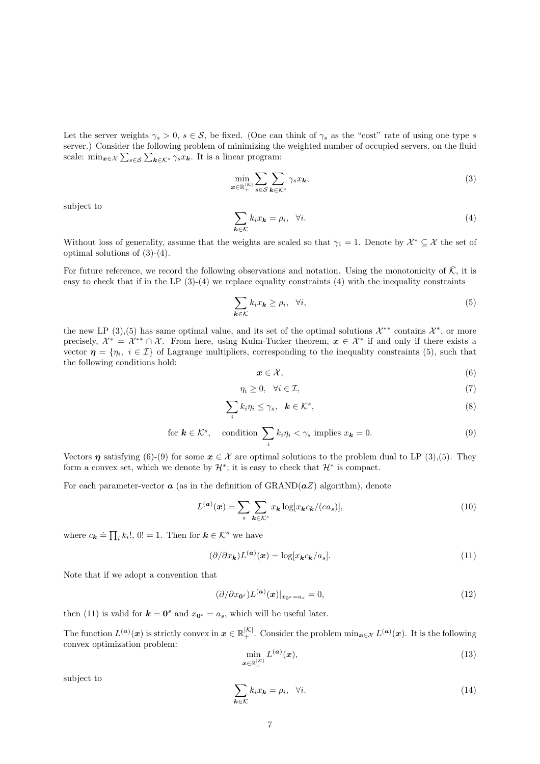Let the server weights  $\gamma_s > 0$ ,  $s \in S$ , be fixed. (One can think of  $\gamma_s$  as the "cost" rate of using one type s server.) Consider the following problem of minimizing the weighted number of occupied servers, on the fluid scale:  $\min_{\mathbf{x} \in \mathcal{X}} \sum_{s \in \mathcal{S}} \sum_{\mathbf{k} \in \mathcal{K}^s} \gamma_s x_{\mathbf{k}}$ . It is a linear program:

$$
\min_{\boldsymbol{x}\in\mathbb{R}_{+}^{|{\cal K}|}}\sum_{s\in{\cal S}}\sum_{\boldsymbol{k}\in{\cal K}^{s}}\gamma_{s}x_{\boldsymbol{k}},\tag{3}
$$

subject to

$$
\sum_{\mathbf{k}\in\mathcal{K}}k_ix_{\mathbf{k}}=\rho_i,\quad\forall i.\tag{4}
$$

Without loss of generality, assume that the weights are scaled so that  $\gamma_1 = 1$ . Denote by  $\mathcal{X}^* \subseteq \mathcal{X}$  the set of optimal solutions of (3)-(4).

For future reference, we record the following observations and notation. Using the monotonicity of  $\bar{\mathcal{K}}$ , it is easy to check that if in the LP  $(3)-(4)$  we replace equality constraints  $(4)$  with the inequality constraints

$$
\sum_{\mathbf{k}\in\mathcal{K}}k_{i}x_{\mathbf{k}}\geq\rho_{i},\quad\forall i,
$$
\n
$$
(5)
$$

the new LP (3),(5) has same optimal value, and its set of the optimal solutions  $\mathcal{X}^{**}$  contains  $\mathcal{X}^*$ , or more precisely,  $\mathcal{X}^* = \mathcal{X}^{**} \cap \mathcal{X}$ . From here, using Kuhn-Tucker theorem,  $x \in \mathcal{X}^*$  if and only if there exists a vector  $\eta = \{\eta_i, i \in \mathcal{I}\}\$  of Lagrange multipliers, corresponding to the inequality constraints (5), such that the following conditions hold:

$$
x \in \mathcal{X},\tag{6}
$$

$$
\eta_i \ge 0, \quad \forall i \in \mathcal{I}, \tag{7}
$$

$$
\sum_{i} k_i \eta_i \le \gamma_s, \quad \mathbf{k} \in \mathcal{K}^s,
$$
\n<sup>(8)</sup>

for 
$$
\mathbf{k} \in \mathcal{K}^s
$$
, condition  $\sum_i k_i \eta_i < \gamma_s$  implies  $x_{\mathbf{k}} = 0$ . (9)

Vectors  $\eta$  satisfying (6)-(9) for some  $x \in \mathcal{X}$  are optimal solutions to the problem dual to LP (3),(5). They form a convex set, which we denote by  $\mathcal{H}^*$ ; it is easy to check that  $\mathcal{H}^*$  is compact.

For each parameter-vector  $\boldsymbol{a}$  (as in the definition of GRAND( $\boldsymbol{a}$ Z) algorithm), denote

$$
L^{(a)}(x) = \sum_{s} \sum_{k \in \mathcal{K}^s} x_k \log[x_k c_k/(ea_s)], \qquad (10)
$$

where  $c_{\mathbf{k}} \doteq \prod_i k_i!$ ,  $0! = 1$ . Then for  $\mathbf{k} \in \mathcal{K}^s$  we have

$$
(\partial/\partial x_{\mathbf{k}})L^{(\mathbf{a})}(\mathbf{x}) = \log[x_{\mathbf{k}}c_{\mathbf{k}}/a_s].
$$
\n(11)

Note that if we adopt a convention that

$$
(\partial/\partial x_{\mathbf{0}^s})L^{(\mathbf{a})}(x)|_{x_{\mathbf{0}^s}=a_s}=0,\t\t(12)
$$

then (11) is valid for  $\mathbf{k} = \mathbf{0}^s$  and  $x_{\mathbf{0}^s} = a_s$ , which will be useful later.

The function  $L^{(a)}(x)$  is strictly convex in  $x \in \mathbb{R}^{|K|}_+$ . Consider the problem  $\min_{x \in \mathcal{X}} L^{(a)}(x)$ . It is the following convex optimization problem:

$$
\min_{\boldsymbol{x}\in\mathbb{R}_{+}^{|{\cal K}|}} L^{(\boldsymbol{a})}(\boldsymbol{x}),\tag{13}
$$

subject to

$$
\sum_{\mathbf{k}\in\mathcal{K}}k_ix_{\mathbf{k}}=\rho_i,\quad\forall i.
$$
\n(14)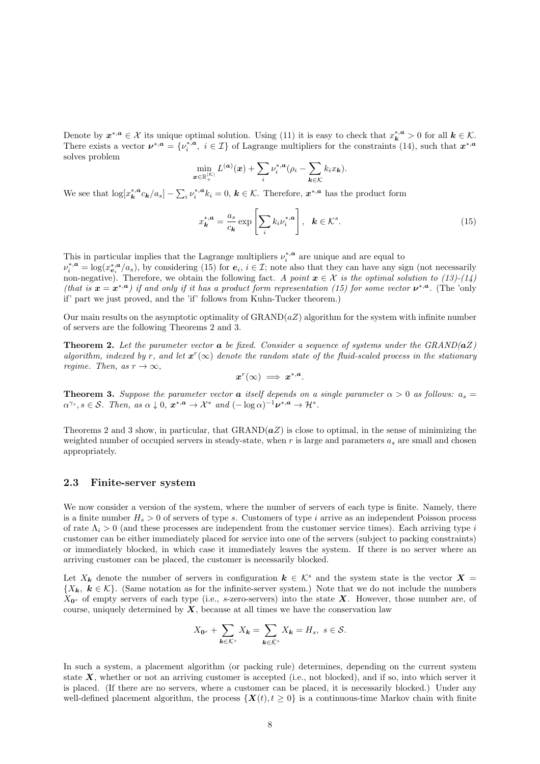Denote by  $x^{*,a} \in \mathcal{X}$  its unique optimal solution. Using (11) it is easy to check that  $x_k^{*,a} > 0$  for all  $k \in \mathcal{K}$ . There exists a vector  $v^{*,a} = \{v_i^{*,a}, i \in \mathcal{I}\}\$  of Lagrange multipliers for the constraints (14), such that  $x^{*,a}$ solves problem

$$
\min_{\boldsymbol{x}\in\mathbb{R}_+^{|{\cal K}|}} L^{(\boldsymbol{a})}(\boldsymbol{x}) + \sum_i \nu_i^{*,\boldsymbol{a}} (\rho_i - \sum_{\boldsymbol{k}\in{\cal K}} k_i x_{\boldsymbol{k}}).
$$

We see that  $\log[x_k^{*,a} c_k/a_s] - \sum_i \nu_i^{*,a} k_i = 0, k \in \mathcal{K}$ . Therefore,  $x^{*,a}$  has the product form

$$
x_{\mathbf{k}}^{*,\mathbf{a}} = \frac{a_s}{c_{\mathbf{k}}} \exp\left[\sum_i k_i \nu_i^{*,\mathbf{a}}\right], \ \ \mathbf{k} \in \mathcal{K}^s. \tag{15}
$$

This in particular implies that the Lagrange multipliers  $\nu_i^{*,a}$  are unique and are equal to  $\nu_i^{*,a} = \log(x_{e_i}^{*,a}/a_s)$ , by considering (15) for  $e_i$ ,  $i \in \mathcal{I}$ ; note also that they can have any sign (not necessarily non-negative). Therefore, we obtain the following fact. A point  $x \in \mathcal{X}$  is the optimal solution to (13)-(14) (that is  $x = x^{*,a}$ ) if and only if it has a product form representation (15) for some vector  $\nu^{*,a}$ . (The 'only if' part we just proved, and the 'if' follows from Kuhn-Tucker theorem.)

Our main results on the asymptotic optimality of  $\text{GRAND}(aZ)$  algorithm for the system with infinite number of servers are the following Theorems 2 and 3.

**Theorem 2.** Let the parameter vector  $\boldsymbol{a}$  be fixed. Consider a sequence of systems under the GRAND( $\boldsymbol{a}Z$ ) algorithm, indexed by r, and let  $x^r(\infty)$  denote the random state of the fluid-scaled process in the stationary regime. Then, as  $r \to \infty$ ,  $x^r(\infty) \implies x^{*,a}.$ 

**Theorem 3.** Suppose the parameter vector **a** itself depends on a single parameter  $\alpha > 0$  as follows:  $a_s =$  $\alpha^{\gamma_s}, s \in \mathcal{S}$ . Then, as  $\alpha \downarrow 0$ ,  $\mathbf{x}^{*,a} \to \mathcal{X}^*$  and  $(-\log \alpha)^{-1} \mathbf{\nu}^{*,a} \to \mathcal{H}^*$ .

Theorems 2 and 3 show, in particular, that  $GRAND(aZ)$  is close to optimal, in the sense of minimizing the weighted number of occupied servers in steady-state, when  $r$  is large and parameters  $a_s$  are small and chosen appropriately.

#### 2.3 Finite-server system

We now consider a version of the system, where the number of servers of each type is finite. Namely, there is a finite number  $H_s > 0$  of servers of type s. Customers of type i arrive as an independent Poisson process of rate  $\Lambda_i > 0$  (and these processes are independent from the customer service times). Each arriving type i customer can be either immediately placed for service into one of the servers (subject to packing constraints) or immediately blocked, in which case it immediately leaves the system. If there is no server where an arriving customer can be placed, the customer is necessarily blocked.

Let  $X_k$  denote the number of servers in configuration  $k \in \mathcal{K}^s$  and the system state is the vector  $X =$  $\{X_k, k \in \mathcal{K}\}.$  (Same notation as for the infinite-server system.) Note that we do not include the numbers  $X_{\mathbf{0}^s}$  of empty servers of each type (i.e., s-zero-servers) into the state **X**. However, those number are, of course, uniquely determined by  $X$ , because at all times we have the conservation law

$$
X_{\mathbf{0}^s} + \sum_{\mathbf{k} \in \mathcal{K}^s} X_{\mathbf{k}} = \sum_{\mathbf{k} \in \bar{\mathcal{K}}^s} X_{\mathbf{k}} = H_s, \ s \in \mathcal{S}.
$$

In such a system, a placement algorithm (or packing rule) determines, depending on the current system state  $X$ , whether or not an arriving customer is accepted (i.e., not blocked), and if so, into which server it is placed. (If there are no servers, where a customer can be placed, it is necessarily blocked.) Under any well-defined placement algorithm, the process  $\{X(t), t \geq 0\}$  is a continuous-time Markov chain with finite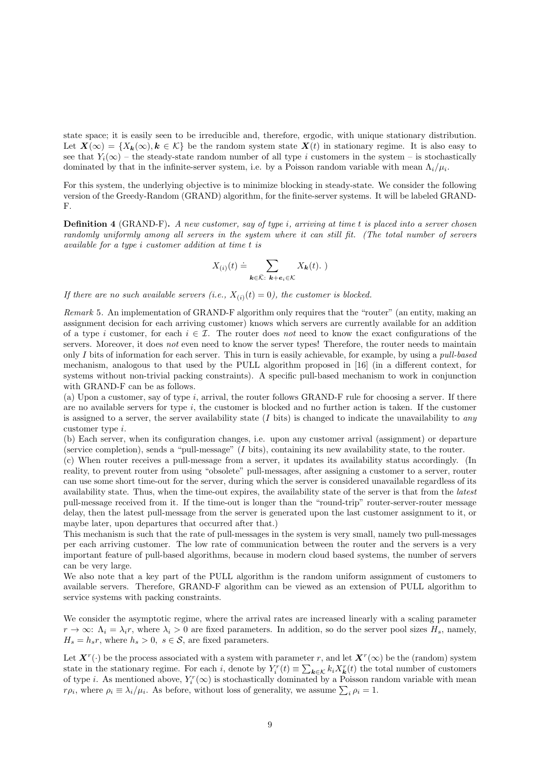state space; it is easily seen to be irreducible and, therefore, ergodic, with unique stationary distribution. Let  $\mathbf{X}(\infty) = \{X_k(\infty), k \in \mathcal{K}\}\$ be the random system state  $\mathbf{X}(t)$  in stationary regime. It is also easy to see that  $Y_i(\infty)$  – the steady-state random number of all type i customers in the system – is stochastically dominated by that in the infinite-server system, i.e. by a Poisson random variable with mean  $\Lambda_i/\mu_i$ .

For this system, the underlying objective is to minimize blocking in steady-state. We consider the following version of the Greedy-Random (GRAND) algorithm, for the finite-server systems. It will be labeled GRAND-F.

**Definition 4** (GRAND-F). A new customer, say of type i, arriving at time t is placed into a server chosen randomly uniformly among all servers in the system where it can still fit. (The total number of servers available for a type i customer addition at time t is

$$
X_{(i)}(t) \doteq \sum_{\mathbf{k} \in \bar{\mathcal{K}}: \; \mathbf{k} + \mathbf{e}_i \in \mathcal{K}} X_{\mathbf{k}}(t). \; )
$$

If there are no such available servers (i.e.,  $X_{(i)}(t) = 0$ ), the customer is blocked.

Remark 5. An implementation of GRAND-F algorithm only requires that the "router" (an entity, making an assignment decision for each arriving customer) knows which servers are currently available for an addition of a type i customer, for each  $i \in \mathcal{I}$ . The router does not need to know the exact configurations of the servers. Moreover, it does not even need to know the server types! Therefore, the router needs to maintain only  $I$  bits of information for each server. This in turn is easily achievable, for example, by using a *pull-based* mechanism, analogous to that used by the PULL algorithm proposed in [16] (in a different context, for systems without non-trivial packing constraints). A specific pull-based mechanism to work in conjunction with GRAND-F can be as follows.

(a) Upon a customer, say of type i, arrival, the router follows GRAND-F rule for choosing a server. If there are no available servers for type  $i$ , the customer is blocked and no further action is taken. If the customer is assigned to a server, the server availability state  $(I$  bits) is changed to indicate the unavailability to any customer type i.

(b) Each server, when its configuration changes, i.e. upon any customer arrival (assignment) or departure (service completion), sends a "pull-message" (I bits), containing its new availability state, to the router.

(c) When router receives a pull-message from a server, it updates its availability status accordingly. (In reality, to prevent router from using "obsolete" pull-messages, after assigning a customer to a server, router can use some short time-out for the server, during which the server is considered unavailable regardless of its availability state. Thus, when the time-out expires, the availability state of the server is that from the latest pull-message received from it. If the time-out is longer than the "round-trip" router-server-router message delay, then the latest pull-message from the server is generated upon the last customer assignment to it, or maybe later, upon departures that occurred after that.)

This mechanism is such that the rate of pull-messages in the system is very small, namely two pull-messages per each arriving customer. The low rate of communication between the router and the servers is a very important feature of pull-based algorithms, because in modern cloud based systems, the number of servers can be very large.

We also note that a key part of the PULL algorithm is the random uniform assignment of customers to available servers. Therefore, GRAND-F algorithm can be viewed as an extension of PULL algorithm to service systems with packing constraints.

We consider the asymptotic regime, where the arrival rates are increased linearly with a scaling parameter  $r \to \infty$ :  $\Lambda_i = \lambda_i r$ , where  $\lambda_i > 0$  are fixed parameters. In addition, so do the server pool sizes  $H_s$ , namely,  $H_s = h_s r$ , where  $h_s > 0$ ,  $s \in S$ , are fixed parameters.

Let  $X^r(\cdot)$  be the process associated with a system with parameter r, and let  $X^r(\infty)$  be the (random) system state in the stationary regime. For each i, denote by  $Y_i^r(t) \equiv \sum_{k \in \mathcal{K}} k_i X_k^r(t)$  the total number of customers of type *i*. As mentioned above,  $Y_i^r(\infty)$  is stochastically dominated by a Poisson random variable with mean  $r\rho_i$ , where  $\rho_i \equiv \lambda_i/\mu_i$ . As before, without loss of generality, we assume  $\sum_i \rho_i = 1$ .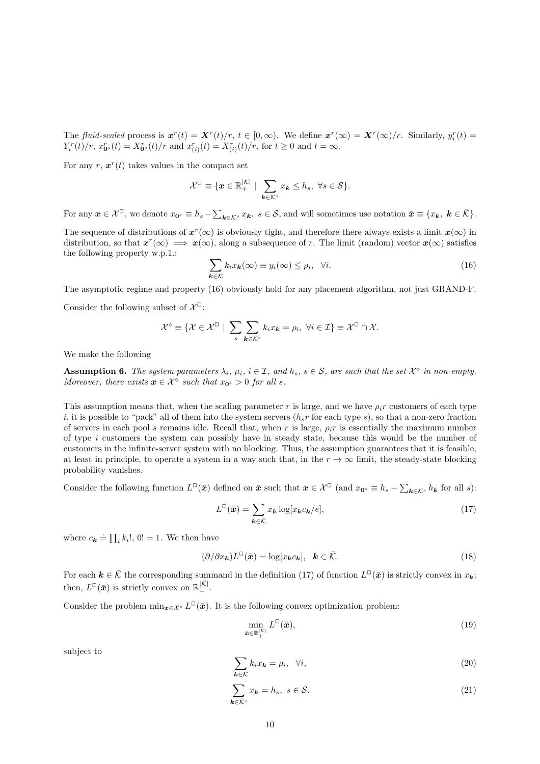The fluid-scaled process is  $\mathbf{x}^r(t) = \mathbf{X}^r(t)/r$ ,  $t \in [0,\infty)$ . We define  $\mathbf{x}^r(\infty) = \mathbf{X}^r(\infty)/r$ . Similarly,  $y_i^r(t) =$  $Y_i^r(t)/r$ ,  $x_{\mathbf{0}^s}^r(t) = X_{\mathbf{0}^s}^r(t)/r$  and  $x_{(i)}^r(t) = X_{(i)}^r(t)/r$ , for  $t \ge 0$  and  $t = \infty$ .

For any  $r, x^r(t)$  takes values in the compact set

$$
\mathcal{X}^{\square} \equiv \{ \boldsymbol{x} \in \mathbb{R}_{+}^{\vert \mathcal{K} \vert} \mid \sum_{\boldsymbol{k} \in \mathcal{K}^{s}} x_{\boldsymbol{k}} \leq h_s, \ \forall s \in \mathcal{S} \}.
$$

For any  $\mathbf{x} \in \mathcal{X}^{\Box}$ , we denote  $x_{\mathbf{0}^s} \equiv h_s - \sum_{\mathbf{k} \in \mathcal{K}^s} x_{\mathbf{k}}$ ,  $s \in \mathcal{S}$ , and will sometimes use notation  $\bar{\mathbf{x}} \equiv \{x_{\mathbf{k}}, \ \mathbf{k} \in \bar{\mathcal{K}}\}$ .

The sequence of distributions of  $x^r(\infty)$  is obviously tight, and therefore there always exists a limit  $x(\infty)$  in distribution, so that  $x^r(\infty) \implies x(\infty)$ , along a subsequence of r. The limit (random) vector  $x(\infty)$  satisfies the following property w.p.1.:

$$
\sum_{\mathbf{k}\in\mathcal{K}}k_ix_{\mathbf{k}}(\infty)\equiv y_i(\infty)\leq\rho_i,\ \ \forall i.
$$
\n(16)

The asymptotic regime and property (16) obviously hold for any placement algorithm, not just GRAND-F.

Consider the following subset of  $\mathcal{X}^{\square}$ :

$$
\mathcal{X}^{\diamond} \equiv \{ \mathcal{X} \in \mathcal{X}^{\square} \mid \sum_{s} \sum_{\mathbf{k} \in \mathcal{K}^{s}} k_{i} x_{\mathbf{k}} = \rho_{i}, \ \forall i \in \mathcal{I} \} \equiv \mathcal{X}^{\square} \cap \mathcal{X}.
$$

We make the following

**Assumption 6.** The system parameters  $\lambda_i$ ,  $\mu_i$ ,  $i \in \mathcal{I}$ , and  $h_s$ ,  $s \in \mathcal{S}$ , are such that the set  $\mathcal{X}^{\diamond}$  in non-empty. Moreover, there exists  $x \in \mathcal{X}^{\diamond}$  such that  $x_{0^s} > 0$  for all s.

This assumption means that, when the scaling parameter r is large, and we have  $\rho_i r$  customers of each type i, it is possible to "pack" all of them into the system servers  $(h_s r$  for each type s), so that a non-zero fraction of servers in each pool s remains idle. Recall that, when r is large,  $\rho_i r$  is essentially the maximum number of type  $i$  customers the system can possibly have in steady state, because this would be the number of customers in the infinite-server system with no blocking. Thus, the assumption guarantees that it is feasible, at least in principle, to operate a system in a way such that, in the  $r \to \infty$  limit, the steady-state blocking probability vanishes.

Consider the following function  $L^{\square}(\bar{x})$  defined on  $\bar{x}$  such that  $x \in \mathcal{X}^{\square}$  (and  $x_{0}$ s  $\equiv h_{s} - \sum_{k \in \mathcal{K}^{s}} h_{k}$  for all s):

$$
L^{\Box}(\bar{x}) = \sum_{\mathbf{k} \in \bar{\mathcal{K}}} x_{\mathbf{k}} \log[x_{\mathbf{k}} c_{\mathbf{k}}/e], \tag{17}
$$

where  $c_{\mathbf{k}} \doteq \prod_i k_i!$ ,  $0! = 1$ . We then have

$$
(\partial/\partial x_{\mathbf{k}})L^{\square}(\bar{\mathbf{x}}) = \log[x_{\mathbf{k}}c_{\mathbf{k}}], \quad \mathbf{k} \in \bar{\mathcal{K}}.
$$
 (18)

For each  $k \in \overline{K}$  the corresponding summand in the definition (17) of function  $L^{\square}(\bar{x})$  is strictly convex in  $x_k$ ; then,  $L^{\square}(\bar{x})$  is strictly convex on  $\mathbb{R}^{|\bar{\mathcal{K}}|}_+$ .

Consider the problem  $\min_{\bm{x}\in\mathcal{X}^{\circ}} L^{\square}(\bar{\bm{x}})$ . It is the following convex optimization problem:

$$
\min_{\bar{\boldsymbol{x}} \in \mathbb{R}_+^{|\mathcal{K}|}} L^{\square}(\bar{\boldsymbol{x}}),\tag{19}
$$

subject to

$$
\sum_{\mathbf{k}\in\mathcal{K}}k_ix_{\mathbf{k}}=\rho_i,\ \ \forall i,
$$
\n(20)

$$
\sum_{\mathbf{k}\in\bar{\mathcal{K}}^s} x_{\mathbf{k}} = h_s, \ s \in \mathcal{S}.\tag{21}
$$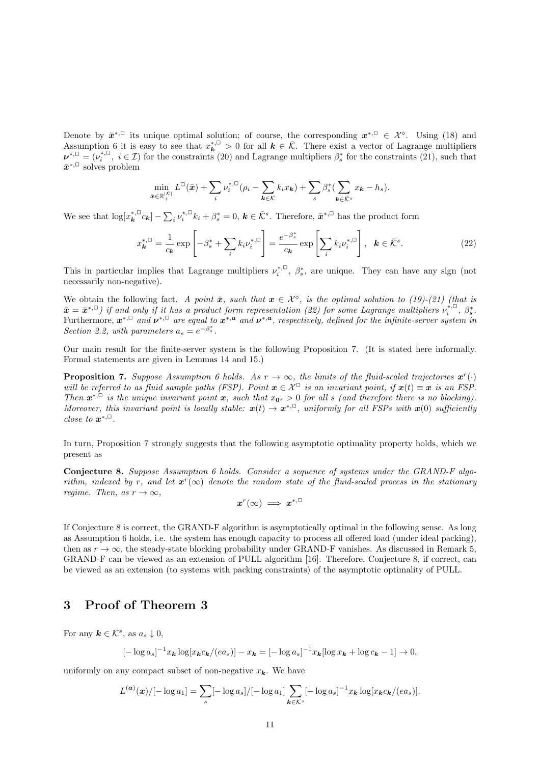Denote by  $\bar{x}^{*,\square}$  its unique optimal solution; of course, the corresponding  $x^{*,\square} \in \mathcal{X}^{\diamond}$ . Using (18) and Assumption 6 it is easy to see that  $x_k^{*,\square} > 0$  for all  $k \in \overline{K}$ . There exist a vector of Lagrange multipliers  $\nu^{*,\square} = (\nu_i^{*,\square}, i \in \mathcal{I})$  for the constraints (20) and Lagrange multipliers  $\beta_s^*$  for the constraints (21), such that  $\bar{x}^{*,\square}$  solves problem

$$
\min_{\bar{\boldsymbol{x}} \in \mathbb{R}_+^{|\mathcal{K}|}} L^{\square}(\bar{\boldsymbol{x}}) + \sum_i \nu_i^{*,\square} (\rho_i - \sum_{\boldsymbol{k} \in \mathcal{K}} k_i x_{\boldsymbol{k}}) + \sum_s \beta_s^* (\sum_{\boldsymbol{k} \in \bar{\mathcal{K}}^s} x_{\boldsymbol{k}} - h_s).
$$

We see that  $\log[x_k^{*,\square}c_k] - \sum_i \nu_i^{*,\square}k_i + \beta_s^* = 0, \, \mathbf{k} \in \overline{\mathcal{K}}^s$ . Therefore,  $\bar{\mathbf{x}}^{*,\square}$  has the product form

$$
x_{\mathbf{k}}^{*,\square} = \frac{1}{c_{\mathbf{k}}} \exp\left[-\beta_s^* + \sum_i k_i \nu_i^{*,\square}\right] = \frac{e^{-\beta_s^*}}{c_{\mathbf{k}}} \exp\left[\sum_i k_i \nu_i^{*,\square}\right], \quad \mathbf{k} \in \bar{\mathcal{K}}^s. \tag{22}
$$

This in particular implies that Lagrange multipliers  $\nu_i^{*,\square}, \beta_s^*$ , are unique. They can have any sign (not necessarily non-negative).

We obtain the following fact. A point  $\bar{x}$ , such that  $x \in \mathcal{X}^{\diamond}$ , is the optimal solution to (19)-(21) (that is  $\bar{x} = \bar{x}^{*,\Box}$ ) if and only if it has a product form representation (22) for some Lagrange multipliers  $\nu_i^{*,\Box}$ ,  $\beta_s^*$ . Furthermore,  $x^{*,\Box}$  and  $\nu^{*,\Box}$  are equal to  $x^{*,a}$  and  $\nu^{*,a}$ , respectively, defined for the infinite-server system in Section 2.2, with parameters  $a_s = e^{-\beta_s^*}$ .

Our main result for the finite-server system is the following Proposition 7. (It is stated here informally. Formal statements are given in Lemmas 14 and 15.)

**Proposition 7.** Suppose Assumption 6 holds. As  $r \to \infty$ , the limits of the fluid-scaled trajectories  $x^r(\cdot)$ will be referred to as fluid sample paths (FSP). Point  $x \in \mathcal{X}^{\Box}$  is an invariant point, if  $x(t) \equiv x$  is an FSP. Then  $x^{*,\Box}$  is the unique invariant point  $x$ , such that  $x_{0^s} > 0$  for all s (and therefore there is no blocking). Moreover, this invariant point is locally stable:  $x(t) \to x^{*,\square}$ , uniformly for all FSPs with  $x(0)$  sufficiently close to  $x^{*,\square}$ .

In turn, Proposition 7 strongly suggests that the following asymptotic optimality property holds, which we present as

Conjecture 8. Suppose Assumption 6 holds. Consider a sequence of systems under the GRAND-F algorithm, indexed by r, and let  $x^r(\infty)$  denote the random state of the fluid-scaled process in the stationary regime. Then, as  $r \to \infty$ ,

$$
x^r(\infty) \implies x^{*,\square}
$$

If Conjecture 8 is correct, the GRAND-F algorithm is asymptotically optimal in the following sense. As long as Assumption 6 holds, i.e. the system has enough capacity to process all offered load (under ideal packing), then as  $r \to \infty$ , the steady-state blocking probability under GRAND-F vanishes. As discussed in Remark 5, GRAND-F can be viewed as an extension of PULL algorithm [16]. Therefore, Conjecture 8, if correct, can be viewed as an extension (to systems with packing constraints) of the asymptotic optimality of PULL.

# 3 Proof of Theorem 3

For any  $\mathbf{k} \in \mathcal{K}^s$ , as  $a_s \downarrow 0$ ,

$$
[-\log a_s]^{-1} x_{\boldsymbol{k}} \log[x_{\boldsymbol{k}} c_{\boldsymbol{k}}/(ea_s)] - x_{\boldsymbol{k}} = [-\log a_s]^{-1} x_{\boldsymbol{k}} [\log x_{\boldsymbol{k}} + \log c_{\boldsymbol{k}} - 1] \to 0,
$$

uniformly on any compact subset of non-negative  $x_k$ . We have

$$
L^{(a)}(x)/[-\log a_1] = \sum_{s} [-\log a_s]/[-\log a_1] \sum_{\mathbf{k} \in \mathcal{K}^s} [-\log a_s]^{-1} x_{\mathbf{k}} \log[x_{\mathbf{k}} c_{\mathbf{k}}/(ea_s)].
$$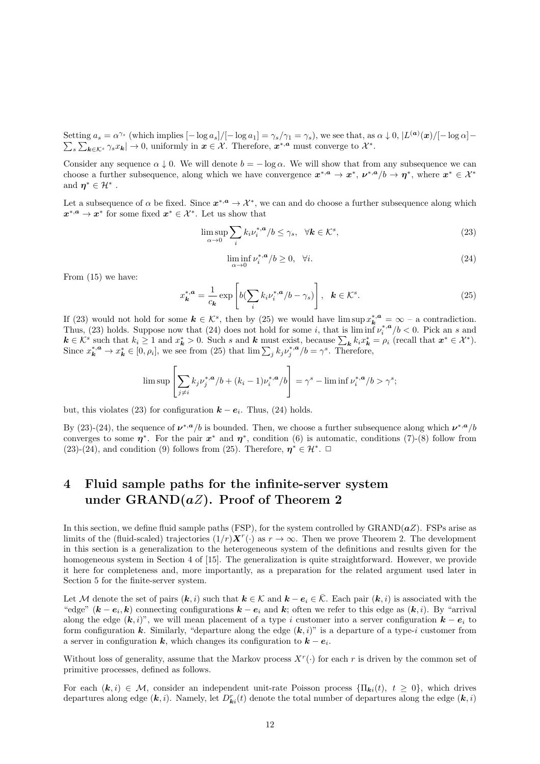Setting  $a_s = \alpha^{\gamma_s}$  (which implies  $[-\log a_s]/[-\log a_1] = \gamma_s/\gamma_1 = \gamma_s$ ), we see that, as  $\alpha \downarrow 0$ ,  $|L^{(\boldsymbol{a})}(\boldsymbol{x})/[-\log \alpha] \sum_{s}\sum_{\mathbf{k}\in\mathcal{K}^s}\gamma_s x_{\mathbf{k}}\rightarrow 0$ , uniformly in  $\mathbf{x}\in\mathcal{X}$ . Therefore,  $\mathbf{x}^{*,\mathbf{a}}$  must converge to  $\mathcal{X}^*$ .

Consider any sequence  $\alpha \downarrow 0$ . We will denote  $b = -\log \alpha$ . We will show that from any subsequence we can choose a further subsequence, along which we have convergence  $x^{*,a} \to x^*, \nu^{*,a}/b \to \eta^*,$  where  $x^* \in \mathcal{X}^*$ and  $\eta^* \in \mathcal{H}^*$ .

Let a subsequence of  $\alpha$  be fixed. Since  $x^{*,a} \to \mathcal{X}^*$ , we can and do choose a further subsequence along which  $x^{*,a} \to x^*$  for some fixed  $x^* \in \mathcal{X}^*$ . Let us show that

$$
\limsup_{\alpha \to 0} \sum_{i} k_i \nu_i^{*,a} / b \le \gamma_s, \quad \forall k \in \mathcal{K}^s,
$$
\n(23)

$$
\liminf_{\alpha \to 0} \nu_i^{*,a}/b \ge 0, \quad \forall i. \tag{24}
$$

From (15) we have:

$$
x_{\mathbf{k}}^{*,\mathbf{a}} = \frac{1}{c_{\mathbf{k}}} \exp\left[b(\sum_{i} k_{i} \nu_{i}^{*,\mathbf{a}}/b - \gamma_{s})\right], \quad \mathbf{k} \in \mathcal{K}^{s}.
$$
 (25)

If (23) would not hold for some  $k \in \mathcal{K}^s$ , then by (25) we would have  $\limsup x_k^{*,a} = \infty$  – a contradiction. Thus, (23) holds. Suppose now that (24) does not hold for some i, that is  $\liminf_{n \to \infty} \nu_i^{*,a}/b < 0$ . Pick an s and  $k \in \mathcal{K}^s$  such that  $k_i \geq 1$  and  $x_k^* > 0$ . Such s and k must exist, because  $\sum_k k_i x_k^* = \rho_i$  (recall that  $x^* \in \mathcal{X}^*$ ). Since  $x_k^{*,a} \to x_k^* \in [0, \rho_i]$ , we see from (25) that  $\lim \sum_j k_j \nu_j^{*,a} / b = \gamma^s$ . Therefore,

$$
\limsup \left[ \sum_{j \neq i} k_j \nu_j^{*,a}/b + (k_i - 1) \nu_i^{*,a}/b \right] = \gamma^s - \liminf \nu_i^{*,a}/b > \gamma^s;
$$

but, this violates (23) for configuration  $\mathbf{k} - \mathbf{e}_i$ . Thus, (24) holds.

By (23)-(24), the sequence of  $v^{*,a}/b$  is bounded. Then, we choose a further subsequence along which  $v^{*,a}/b$ converges to some  $\eta^*$ . For the pair  $x^*$  and  $\eta^*$ , condition (6) is automatic, conditions (7)-(8) follow from (23)-(24), and condition (9) follows from (25). Therefore,  $\eta^* \in \mathcal{H}^*$ .  $\Box$ 

# 4 Fluid sample paths for the infinite-server system under  $\text{GRAND}(aZ)$ . Proof of Theorem 2

In this section, we define fluid sample paths (FSP), for the system controlled by GRAND( $aZ$ ). FSPs arise as limits of the (fluid-scaled) trajectories  $(1/r)\mathbf{X}^r(\cdot)$  as  $r \to \infty$ . Then we prove Theorem 2. The development in this section is a generalization to the heterogeneous system of the definitions and results given for the homogeneous system in Section 4 of [15]. The generalization is quite straightforward. However, we provide it here for completeness and, more importantly, as a preparation for the related argument used later in Section 5 for the finite-server system.

Let M denote the set of pairs  $(k, i)$  such that  $k \in \mathcal{K}$  and  $k - e_i \in \overline{\mathcal{K}}$ . Each pair  $(k, i)$  is associated with the "edge"  $(k - e_i, k)$  connecting configurations  $k - e_i$  and  $k$ ; often we refer to this edge as  $(k, i)$ . By "arrival" along the edge  $(k, i)$ ", we will mean placement of a type i customer into a server configuration  $k - e_i$  to form configuration k. Similarly, "departure along the edge  $(k, i)$ " is a departure of a type-i customer from a server in configuration  $k$ , which changes its configuration to  $k - e_i$ .

Without loss of generality, assume that the Markov process  $X^r(\cdot)$  for each r is driven by the common set of primitive processes, defined as follows.

For each  $(k, i) \in \mathcal{M}$ , consider an independent unit-rate Poisson process  $\{\Pi_{ki}(t), t \geq 0\}$ , which drives departures along edge  $(k, i)$ . Namely, let  $D_{ki}^r(t)$  denote the total number of departures along the edge  $(k, i)$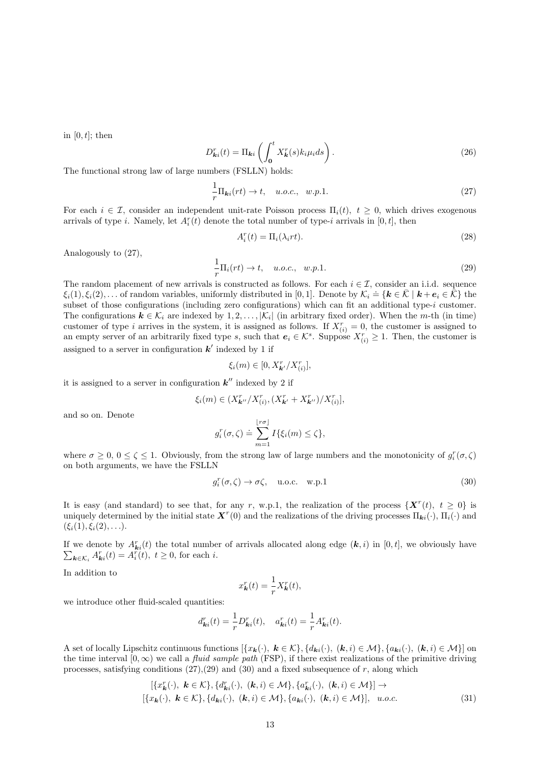in  $[0, t]$ ; then

$$
D_{\mathbf{k}i}^r(t) = \Pi_{\mathbf{k}i} \left( \int_0^t X_{\mathbf{k}}^r(s) k_i \mu_i ds \right). \tag{26}
$$

The functional strong law of large numbers (FSLLN) holds:

$$
\frac{1}{r}\Pi_{ki}(rt) \to t, \quad u.o.c., \quad w.p.1.
$$
\n
$$
(27)
$$

For each  $i \in \mathcal{I}$ , consider an independent unit-rate Poisson process  $\Pi_i(t)$ ,  $t \geq 0$ , which drives exogenous arrivals of type *i*. Namely, let  $A_i^r(t)$  denote the total number of type-*i* arrivals in [0, t], then

$$
A_i^r(t) = \Pi_i(\lambda_i rt). \tag{28}
$$

Analogously to (27),

$$
\frac{1}{r}\Pi_i(rt) \to t, \quad u.o.c., \quad w.p.1.
$$
\n(29)

The random placement of new arrivals is constructed as follows. For each  $i \in \mathcal{I}$ , consider an i.i.d. sequence Fire random placement of new arrivals is constrained as follows. For each  $i \in \mathbb{Z}$ , consider an find: sequence  $\xi_i(1), \xi_i(2), \ldots$  of random variables, uniformly distributed in [0, 1]. Denote by  $\mathcal{K}_i \doteq {\mathbf{k} \in \bar{\mathcal{$ subset of those configurations (including zero configurations) which can fit an additional type-i customer. The configurations  $k \in \mathcal{K}_i$  are indexed by  $1, 2, \ldots, |\mathcal{K}_i|$  (in arbitrary fixed order). When the m-th (in time) customer of type i arrives in the system, it is assigned as follows. If  $X_{(i)}^r = 0$ , the customer is assigned to an empty server of an arbitrarily fixed type s, such that  $e_i \in \mathcal{K}^s$ . Suppose  $X_{(i)}^r \geq 1$ . Then, the customer is assigned to a server in configuration  $k'$  indexed by 1 if

$$
\xi_i(m) \in [0, X_{\mathbf{k}'}^r / X_{(i)}^r],
$$

it is assigned to a server in configuration  $k''$  indexed by 2 if

$$
\xi_i(m) \in (X_{\mathbf{k}''}^r / X_{(i)}^r, (X_{\mathbf{k}'}^r + X_{\mathbf{k}''}^r) / X_{(i)}^r],
$$

and so on. Denote

$$
g_i^r(\sigma,\zeta) \doteq \sum_{m=1}^{\lfloor r\sigma \rfloor} I\{\xi_i(m) \leq \zeta\},\,
$$

where  $\sigma \geq 0, 0 \leq \zeta \leq 1$ . Obviously, from the strong law of large numbers and the monotonicity of  $g_i^r(\sigma, \zeta)$ on both arguments, we have the FSLLN

$$
g_i^r(\sigma,\zeta) \to \sigma\zeta, \quad \text{u.o.c.} \quad \text{w.p.1}
$$
 (30)

It is easy (and standard) to see that, for any r, w.p.1, the realization of the process  $\{X^{r}(t), t \geq 0\}$  is uniquely determined by the initial state  $\mathbf{X}^r(0)$  and the realizations of the driving processes  $\Pi_{ki}(\cdot)$ ,  $\Pi_i(\cdot)$  and  $(\xi_i(1), \xi_i(2), \ldots).$ 

If we denote by  $A_{ki}^r(t)$  the total number of arrivals allocated along edge  $(k, i)$  in  $[0, t]$ , we obviously have  $\sum_{\mathbf{k}\in\mathcal{K}_i} A_{\mathbf{k}i}^r(t) = A_i^r(t), t \geq 0$ , for each *i*.

In addition to

$$
x_{\mathbf{k}}^r(t) = \frac{1}{r} X_{\mathbf{k}}^r(t),
$$

we introduce other fluid-scaled quantities:

$$
d_{\mathbf{k}i}^r(t) = \frac{1}{r} D_{\mathbf{k}i}^r(t), \quad a_{\mathbf{k}i}^r(t) = \frac{1}{r} A_{\mathbf{k}i}^r(t).
$$

A set of locally Lipschitz continuous functions  $[\{x_k(\cdot), k \in \mathcal{K}\}, \{d_{ki}(\cdot), (k,i) \in \mathcal{M}\}, \{a_{ki}(\cdot), (k,i) \in \mathcal{M}\}]$  on the time interval  $[0, \infty)$  we call a *fluid sample path* (FSP), if there exist realizations of the primitive driving processes, satisfying conditions  $(27),(29)$  and  $(30)$  and a fixed subsequence of r, along which

$$
[\{x_{\mathbf{k}}^r(\cdot), \ \mathbf{k} \in \mathcal{K}\}, \{d_{\mathbf{k}i}^r(\cdot), \ (\mathbf{k}, i) \in \mathcal{M}\}, \{a_{\mathbf{k}i}^r(\cdot), \ (\mathbf{k}, i) \in \mathcal{M}\}] \rightarrow[\{x_{\mathbf{k}}(\cdot), \ \mathbf{k} \in \mathcal{K}\}, \{d_{\mathbf{k}i}(\cdot), \ (\mathbf{k}, i) \in \mathcal{M}\}, \{a_{\mathbf{k}i}(\cdot), \ (\mathbf{k}, i) \in \mathcal{M}\}], \ u.o.c.
$$
\n(31)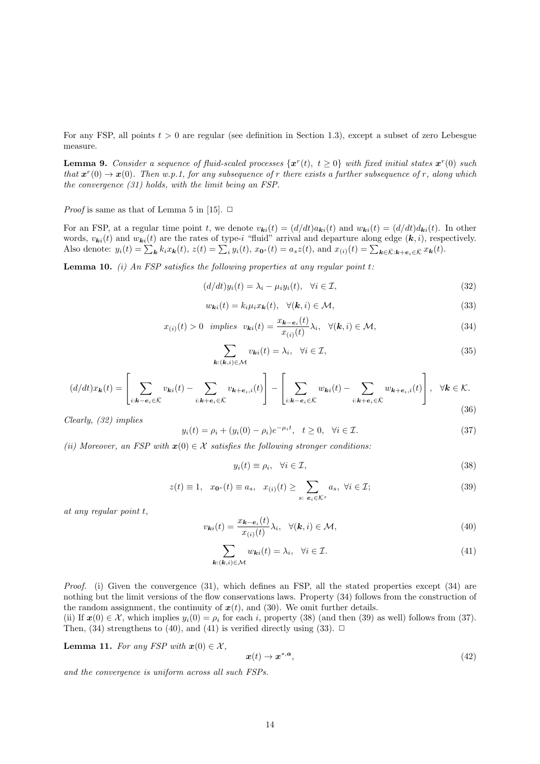For any FSP, all points  $t > 0$  are regular (see definition in Section 1.3), except a subset of zero Lebesgue measure.

**Lemma 9.** Consider a sequence of fluid-scaled processes  $\{x^r(t), t \ge 0\}$  with fixed initial states  $x^r(0)$  such that  $x^r(0) \to x(0)$ . Then w.p.1, for any subsequence of r there exists a further subsequence of r, along which the convergence (31) holds, with the limit being an FSP.

*Proof* is same as that of Lemma 5 in [15].  $\Box$ 

For an FSP, at a regular time point t, we denote  $v_{ki}(t) = (d/dt)a_{ki}(t)$  and  $w_{ki}(t) = (d/dt)d_{ki}(t)$ . In other words,  $v_{ki}(t)$  and  $w_{ki}(t)$  are the rates of type-i "fluid" arrival and departure along edge  $(k, i)$ , respectively. Also denote:  $y_i(t) = \sum_{\mathbf{k}} k_i x_{\mathbf{k}}(t)$ ,  $z(t) = \sum_i y_i(t)$ ,  $x_{\mathbf{0}^s}(t) = a_s z(t)$ , and  $x_{(i)}(t) = \sum_{\mathbf{k} \in \bar{\mathcal{K}}: \mathbf{k} + \mathbf{e}_i \in \bar{\mathcal{K}}} x_{\mathbf{k}}(t)$ .

**Lemma 10.** (i) An FSP satisfies the following properties at any regular point  $t$ :

$$
(d/dt)y_i(t) = \lambda_i - \mu_i y_i(t), \quad \forall i \in \mathcal{I},
$$
\n(32)

$$
w_{\mathbf{k}i}(t) = k_i \mu_i x_{\mathbf{k}}(t), \quad \forall (\mathbf{k}, i) \in \mathcal{M}, \tag{33}
$$

$$
x_{(i)}(t) > 0 \quad implies \quad v_{ki}(t) = \frac{x_{k-e_i}(t)}{x_{(i)}(t)} \lambda_i, \quad \forall (k, i) \in \mathcal{M}, \tag{34}
$$

$$
\sum_{\mathbf{k}: (\mathbf{k}, i) \in \mathcal{M}} v_{\mathbf{k}i}(t) = \lambda_i, \quad \forall i \in \mathcal{I},
$$
\n(35)

$$
(d/dt)x_{\mathbf{k}}(t) = \left[\sum_{i:\mathbf{k}-\mathbf{e}_i\in\bar{\mathcal{K}}} v_{\mathbf{k}i}(t) - \sum_{i:\mathbf{k}+\mathbf{e}_i\in\bar{\mathcal{K}}} v_{\mathbf{k}+\mathbf{e}_i,i}(t)\right] - \left[\sum_{i:\mathbf{k}-\mathbf{e}_i\in\bar{\mathcal{K}}} w_{\mathbf{k}i}(t) - \sum_{i:\mathbf{k}+\mathbf{e}_i\in\bar{\mathcal{K}}} w_{\mathbf{k}+\mathbf{e}_i,i}(t)\right], \quad \forall \mathbf{k}\in\mathcal{K}.
$$
\n(36)

Clearly, (32) implies

$$
y_i(t) = \rho_i + (y_i(0) - \rho_i)e^{-\mu_i t}, \quad t \ge 0, \quad \forall i \in \mathcal{I}.
$$
 (37)

(ii) Moreover, an FSP with  $x(0) \in \mathcal{X}$  satisfies the following stronger conditions:

$$
y_i(t) \equiv \rho_i, \quad \forall i \in \mathcal{I}, \tag{38}
$$

$$
z(t) \equiv 1, \quad x_{\mathbf{0}^s}(t) \equiv a_s, \quad x_{(i)}(t) \ge \sum_{s: \ e_i \in \mathcal{K}^s} a_s, \ \forall i \in \mathcal{I}; \tag{39}
$$

at any regular point t,

$$
v_{\mathbf{k}i}(t) = \frac{x_{\mathbf{k} - \mathbf{e}_i}(t)}{x_{(i)}(t)} \lambda_i, \quad \forall (\mathbf{k}, i) \in \mathcal{M},
$$
\n(40)

$$
\sum_{\mathbf{k}: (\mathbf{k}, i) \in \mathcal{M}} w_{\mathbf{k}i}(t) = \lambda_i, \quad \forall i \in \mathcal{I}.\tag{41}
$$

Proof. (i) Given the convergence (31), which defines an FSP, all the stated properties except (34) are nothing but the limit versions of the flow conservations laws. Property (34) follows from the construction of the random assignment, the continuity of  $x(t)$ , and (30). We omit further details.

(ii) If  $x(0) \in \mathcal{X}$ , which implies  $y_i(0) = \rho_i$  for each i, property (38) (and then (39) as well) follows from (37). Then, (34) strengthens to (40), and (41) is verified directly using (33).  $\Box$ 

**Lemma 11.** For any FSP with  $x(0) \in \mathcal{X}$ ,

$$
\boldsymbol{x}(t) \to \boldsymbol{x}^{*,\boldsymbol{a}},\tag{42}
$$

and the convergence is uniform across all such FSPs.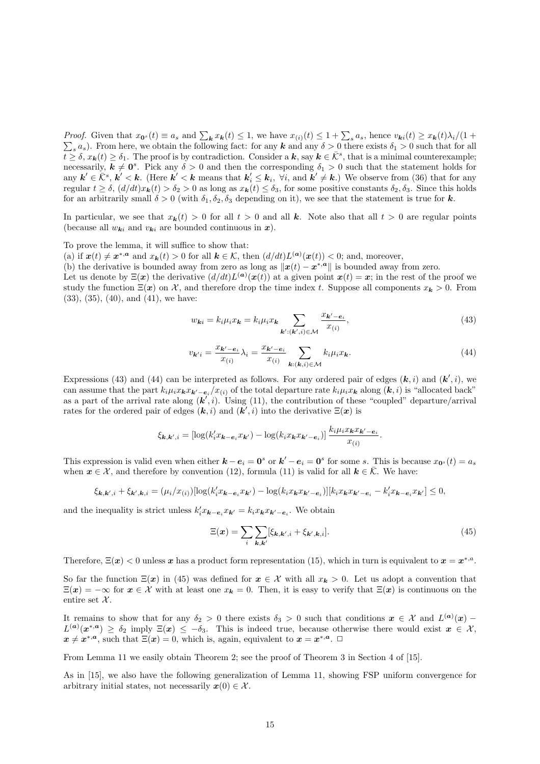*Proof.* Given that  $x_0$  (t)  $\equiv a_s$  and  $\sum_{\mathbf{k}} x_{\mathbf{k}}(t) \leq 1$ , we have  $x_{(i)}(t) \leq 1 + \sum_s a_s$ , hence  $v_{\mathbf{k}i}(t) \geq x_{\mathbf{k}}(t)\lambda_i/(1 + \sum_s a_s)$ . From here, we obtain the following fact: for any  $\mathbf{k}$  and any  $\delta > 0$  ther <sub>s</sub> a<sub>s</sub>). From here, we obtain the following fact: for any **k** and any  $\delta > 0$  there exists  $\delta_1 > 0$  such that for all  $\overline{t} \geq \delta, x_{k}(t) \geq \delta_{1}$ . The proof is by contradiction. Consider a k, say  $k \in \overline{\mathcal{K}}^{s}$ , that is a minimal counterexample; necessarily,  $k \neq 0^s$ . Pick any  $\delta > 0$  and then the corresponding  $\delta_1 > 0$  such that the statement holds for any  $k' \in \overline{\mathcal{K}}^s$ ,  $k' < k$ . (Here  $k' < k$  means that  $k'_i \leq k_i$ ,  $\forall i$ , and  $k' \neq k$ .) We observe from (36) that for any regular  $t \geq \delta$ ,  $(d/dt)x_{k}(t) > \delta_{2} > 0$  as long as  $x_{k}(t) \leq \delta_{3}$ , for some positive constants  $\delta_{2}, \delta_{3}$ . Since this holds for an arbitrarily small  $\delta > 0$  (with  $\delta_1, \delta_2, \delta_3$  depending on it), we see that the statement is true for k.

In particular, we see that  $x_k(t) > 0$  for all  $t > 0$  and all k. Note also that all  $t > 0$  are regular points (because all  $w_{ki}$  and  $v_{ki}$  are bounded continuous in  $x$ ).

To prove the lemma, it will suffice to show that:

(a) if  $x(t) \neq x^{*,a}$  and  $x_k(t) > 0$  for all  $k \in \mathcal{K}$ , then  $(d/dt)L^{(a)}(x(t)) < 0$ ; and, moreover,

(b) the derivative is bounded away from zero as long as  $\|\mathbf{x}(t) - \mathbf{x}^{*,a}\|$  is bounded away from zero.

Let us denote by  $\Xi(x)$  the derivative  $(d/dt)L^{(a)}(x(t))$  at a given point  $x(t) = x$ ; in the rest of the proof we study the function  $\Xi(x)$  on X, and therefore drop the time index t. Suppose all components  $x_k > 0$ . From (33), (35), (40), and (41), we have:

$$
w_{ki} = k_i \mu_i x_k = k_i \mu_i x_k \sum_{\mathbf{k}': (\mathbf{k}', i) \in \mathcal{M}} \frac{x_{\mathbf{k}'-\mathbf{e}_i}}{x_{(i)}},\tag{43}
$$

$$
v_{\mathbf{k}'i} = \frac{x_{\mathbf{k}'-\mathbf{e}_i}}{x_{(i)}} \lambda_i = \frac{x_{\mathbf{k}'-\mathbf{e}_i}}{x_{(i)}} \sum_{\mathbf{k}: (\mathbf{k},i) \in \mathcal{M}} k_i \mu_i x_{\mathbf{k}}.
$$
\n(44)

Expressions (43) and (44) can be interpreted as follows. For any ordered pair of edges  $(k, i)$  and  $(k', i)$ , we can assume that the part  $k_i\mu_i x_{\mathbf{k}'-\mathbf{e}_i}/x_{(i)}$  of the total departure rate  $k_i\mu_i x_{\mathbf{k}}$  along  $(\mathbf{k}, i)$  is "allocated back" as a part of the arrival rate along  $(k', i)$ . Using (11), the contribution of these "coupled" departure/arrival rates for the ordered pair of edges  $(k, i)$  and  $(k', i)$  into the derivative  $\Xi(x)$  is

$$
\xi_{\mathbf{k},\mathbf{k}',i} = \left[\log(k'_i x_{\mathbf{k}-\mathbf{e}_i} x_{\mathbf{k}'}) - \log(k_i x_{\mathbf{k}} x_{\mathbf{k}'-\mathbf{e}_i})\right] \frac{k_i \mu_i x_{\mathbf{k}} x_{\mathbf{k}'-\mathbf{e}_i}}{x_{(i)}}.
$$

This expression is valid even when either  $k - e_i = 0^s$  or  $k' - e_i = 0^s$  for some s. This is because  $x_{0^s}(t) = a_s$ when  $x \in \mathcal{X}$ , and therefore by convention (12), formula (11) is valid for all  $k \in \overline{\mathcal{K}}$ . We have:

$$
\xi_{\mathbf{k},\mathbf{k}',i} + \xi_{\mathbf{k}',\mathbf{k},i} = (\mu_i/x_{(i)})[\log(k_i'x_{\mathbf{k}-\mathbf{e}_i}x_{\mathbf{k}'}) - \log(k_ix_{\mathbf{k}}x_{\mathbf{k}'-\mathbf{e}_i})][k_ix_{\mathbf{k}}x_{\mathbf{k}'-\mathbf{e}_i} - k_i'x_{\mathbf{k}-\mathbf{e}_i}x_{\mathbf{k}'}] \leq 0,
$$

and the inequality is strict unless  $k'_i x_{\mathbf{k}-\mathbf{e}_i} x_{\mathbf{k}'} = k_i x_{\mathbf{k}} x_{\mathbf{k}'-\mathbf{e}_i}$ . We obtain

$$
\Xi(\boldsymbol{x}) = \sum_{i} \sum_{\boldsymbol{k}, \boldsymbol{k}'} [\xi_{\boldsymbol{k}, \boldsymbol{k}', i} + \xi_{\boldsymbol{k}', \boldsymbol{k}, i}]. \tag{45}
$$

Therefore,  $\Xi(x) < 0$  unless x has a product form representation (15), which in turn is equivalent to  $x = x^{*,a}$ .

So far the function  $\Xi(x)$  in (45) was defined for  $x \in \mathcal{X}$  with all  $x_k > 0$ . Let us adopt a convention that  $\Xi(x) = -\infty$  for  $x \in \mathcal{X}$  with at least one  $x_k = 0$ . Then, it is easy to verify that  $\Xi(x)$  is continuous on the entire set  $\mathcal{X}$ .

It remains to show that for any  $\delta_2 > 0$  there exists  $\delta_3 > 0$  such that conditions  $x \in \mathcal{X}$  and  $L^{(a)}(x)$  $L^{(a)}(x^{*,a}) \geq \delta_2$  imply  $\Xi(x) \leq -\delta_3$ . This is indeed true, because otherwise there would exist  $x \in \mathcal{X}$ ,  $x \neq x^{*,a}$ , such that  $\Xi(x) = 0$ , which is, again, equivalent to  $x = x^{*,a}$ .  $\Box$ 

From Lemma 11 we easily obtain Theorem 2; see the proof of Theorem 3 in Section 4 of [15].

As in [15], we also have the following generalization of Lemma 11, showing FSP uniform convergence for arbitrary initial states, not necessarily  $x(0) \in \mathcal{X}$ .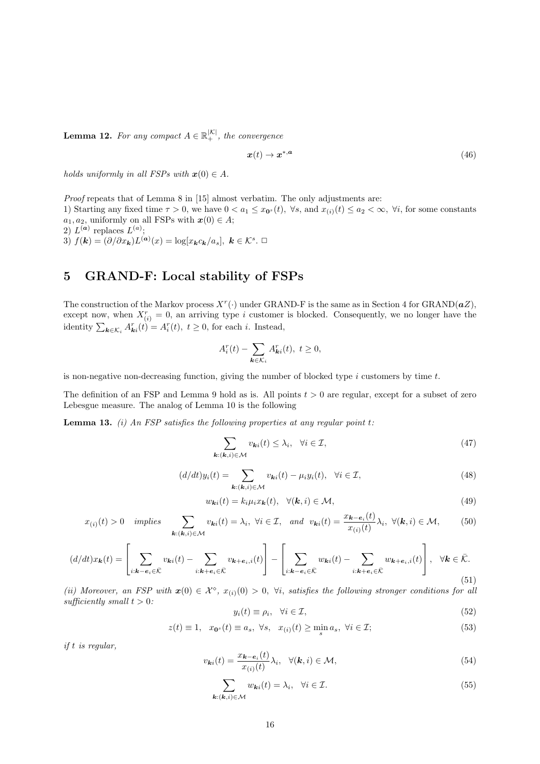**Lemma 12.** For any compact  $A \in \mathbb{R}_+^{|K|}$ , the convergence

$$
x(t) \to x^{*,a} \tag{46}
$$

holds uniformly in all FSPs with  $\mathbf{x}(0) \in A$ .

Proof repeats that of Lemma 8 in [15] almost verbatim. The only adjustments are: 1) Starting any fixed time  $\tau > 0$ , we have  $0 < a_1 \leq x_{0}$  (t),  $\forall s$ , and  $x_{(i)}(t) \leq a_2 < \infty$ ,  $\forall i$ , for some constants  $a_1, a_2$ , uniformly on all FSPs with  $x(0) \in A$ ; 2)  $L^{(a)}$  replaces  $L^{(a)}$ ; 3)  $f(\mathbf{k}) = (\partial/\partial x_{\mathbf{k}}) L^{(\mathbf{a})}(x) = \log[x_{\mathbf{k}} c_{\mathbf{k}}/a_s], \ \mathbf{k} \in \mathcal{K}^s. \ \Box$ 

# 5 GRAND-F: Local stability of FSPs

The construction of the Markov process  $X^r(\cdot)$  under GRAND-F is the same as in Section 4 for GRAND( $aZ$ ), except now, when  $X_{(i)}^r = 0$ , an arriving type i customer is blocked. Consequently, we no longer have the identity  $\sum_{\mathbf{k}\in\mathcal{K}_i} A_{\mathbf{k}i}^r(t) = A_i^r(t), t \geq 0$ , for each *i*. Instead,

$$
A_i^r(t) - \sum_{\mathbf{k}\in\mathcal{K}_i} A_{\mathbf{k}i}^r(t), \ t \ge 0,
$$

is non-negative non-decreasing function, giving the number of blocked type  $i$  customers by time  $t$ .

The definition of an FSP and Lemma 9 hold as is. All points  $t > 0$  are regular, except for a subset of zero Lebesgue measure. The analog of Lemma 10 is the following

**Lemma 13.** (i) An FSP satisfies the following properties at any regular point t:

$$
\sum_{\mathbf{k}: (\mathbf{k}, i) \in \mathcal{M}} v_{\mathbf{k}i}(t) \leq \lambda_i, \quad \forall i \in \mathcal{I}, \tag{47}
$$

$$
(d/dt)y_i(t) = \sum_{\mathbf{k}: (\mathbf{k}, i) \in \mathcal{M}} v_{\mathbf{k}i}(t) - \mu_i y_i(t), \quad \forall i \in \mathcal{I},
$$
\n(48)

$$
w_{\mathbf{k}i}(t) = k_i \mu_i x_{\mathbf{k}}(t), \quad \forall (\mathbf{k}, i) \in \mathcal{M}, \tag{49}
$$

$$
x_{(i)}(t) > 0 \quad implies \quad \sum_{\mathbf{k}: (\mathbf{k}, i) \in \mathcal{M}} v_{\mathbf{k}i}(t) = \lambda_i, \ \forall i \in \mathcal{I}, \quad and \quad v_{\mathbf{k}i}(t) = \frac{x_{\mathbf{k} - \mathbf{e}_i}(t)}{x_{(i)}(t)} \lambda_i, \ \forall (\mathbf{k}, i) \in \mathcal{M}, \tag{50}
$$

$$
(d/dt)x_{\mathbf{k}}(t) = \left[\sum_{i:\mathbf{k}-\mathbf{e}_i\in\bar{\mathcal{K}}} v_{\mathbf{k}i}(t) - \sum_{i:\mathbf{k}+\mathbf{e}_i\in\bar{\mathcal{K}}} v_{\mathbf{k}+\mathbf{e}_i,i}(t)\right] - \left[\sum_{i:\mathbf{k}-\mathbf{e}_i\in\bar{\mathcal{K}}} w_{\mathbf{k}i}(t) - \sum_{i:\mathbf{k}+\mathbf{e}_i\in\bar{\mathcal{K}}} w_{\mathbf{k}+\mathbf{e}_i,i}(t)\right], \quad \forall \mathbf{k}\in\bar{\mathcal{K}}.
$$
\n(51)

(ii) Moreover, an FSP with  $x(0) \in \mathcal{X}^{\diamond}$ ,  $x_{(i)}(0) > 0$ ,  $\forall i$ , satisfies the following stronger conditions for all sufficiently small  $t > 0$ :

$$
y_i(t) \equiv \rho_i, \quad \forall i \in \mathcal{I}, \tag{52}
$$

$$
z(t) \equiv 1, \quad x_{\mathbf{0}^s}(t) \equiv a_s, \ \forall s, \quad x_{(i)}(t) \ge \min_s a_s, \ \forall i \in \mathcal{I}; \tag{53}
$$

if t is regular,

$$
v_{\mathbf{k}i}(t) = \frac{x_{\mathbf{k}-\mathbf{e}_i}(t)}{x_{(i)}(t)} \lambda_i, \quad \forall (\mathbf{k}, i) \in \mathcal{M}, \tag{54}
$$

$$
\sum_{\mathbf{k}: (\mathbf{k}, i) \in \mathcal{M}} w_{\mathbf{k}i}(t) = \lambda_i, \quad \forall i \in \mathcal{I}.\tag{55}
$$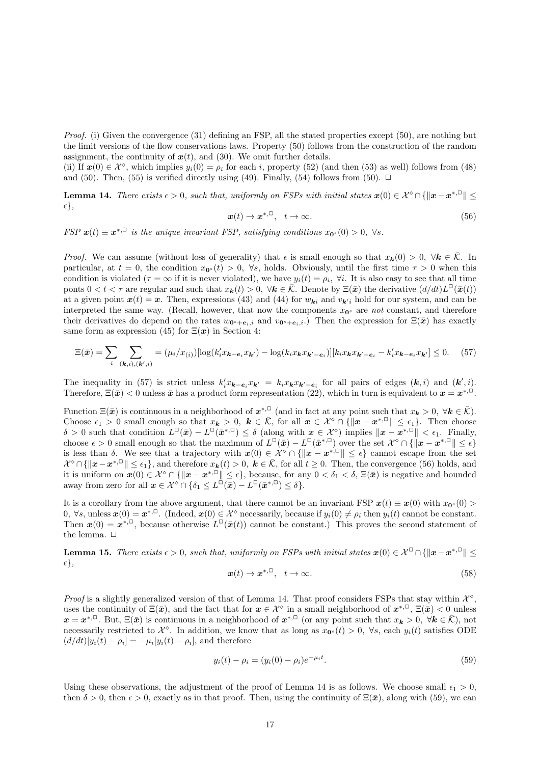Proof. (i) Given the convergence (31) defining an FSP, all the stated properties except (50), are nothing but the limit versions of the flow conservations laws. Property (50) follows from the construction of the random assignment, the continuity of  $x(t)$ , and (30). We omit further details.

(ii) If  $x(0) \in \mathcal{X}^{\diamond}$ , which implies  $y_i(0) = \rho_i$  for each i, property (52) (and then (53) as well) follows from (48) and (50). Then, (55) is verified directly using (49). Finally, (54) follows from (50).  $\Box$ 

**Lemma 14.** There exists  $\epsilon > 0$ , such that, uniformly on FSPs with initial states  $x(0) \in \mathcal{X}^{\diamond} \cap \{\|\boldsymbol{x} - \boldsymbol{x}^{*,\square}\| \leq \epsilon\}$  $\epsilon \},$ 

$$
x(t) \to x^{*,\square}, \quad t \to \infty. \tag{56}
$$

FSP  $x(t) \equiv x^{*,\square}$  is the unique invariant FSP, satisfying conditions  $x_{0^s}(0) > 0$ ,  $\forall s$ .

*Proof.* We can assume (without loss of generality) that  $\epsilon$  is small enough so that  $x_k(0) > 0$ ,  $\forall k \in \overline{K}$ . In particular, at  $t = 0$ , the condition  $x_{0<sup>s</sup>}(t) > 0$ ,  $\forall s$ , holds. Obviously, until the first time  $\tau > 0$  when this condition is violated ( $\tau = \infty$  if it is never violated), we have  $y_i(t) = \rho_i$ ,  $\forall i$ . It is also easy to see that all time ponts  $0 < t < \tau$  are regular and such that  $x_k(t) > 0$ ,  $\forall k \in \overline{K}$ . Denote by  $\Xi(\bar{x})$  the derivative  $(d/dt)L^{\Box}(\bar{x}(t))$ at a given point  $x(t) = x$ . Then, expressions (43) and (44) for  $w_{ki}$  and  $v_{ki}$  hold for our system, and can be interpreted the same way. (Recall, however, that now the components  $x_0$  are not constant, and therefore their derivatives do depend on the rates  $w_{0^s+e_i,i}$  and  $v_{0^s+e_i,i}$ .) Then the expression for  $\Xi(\bar{x})$  has exactly same form as expression (45) for  $\Xi(x)$  in Section 4:

$$
\Xi(\bar{\boldsymbol{x}}) = \sum_{i} \sum_{(\mathbf{k},i),(\mathbf{k}',i)} = (\mu_i/x_{(i)})[\log(k_i'x_{\mathbf{k}-\mathbf{e}_i}x_{\mathbf{k}'}) - \log(k_ix_{\mathbf{k}}x_{\mathbf{k}'-\mathbf{e}_i})][k_ix_{\mathbf{k}}x_{\mathbf{k}'-\mathbf{e}_i} - k_i'x_{\mathbf{k}-\mathbf{e}_i}x_{\mathbf{k}'}] \leq 0. \tag{57}
$$

The inequality in (57) is strict unless  $k'_i x_{\mathbf{k}-\mathbf{e}_i} x_{\mathbf{k}'} = k_i x_{\mathbf{k}} x_{\mathbf{k}'-\mathbf{e}_i}$  for all pairs of edges  $(\mathbf{k}, i)$  and  $(\mathbf{k}', i)$ . Therefore,  $\Xi(\bar{x}) < 0$  unless  $\bar{x}$  has a product form representation (22), which in turn is equivalent to  $x = x^{*,\square}$ .

Function  $\Xi(\bar{x})$  is continuous in a neighborhood of  $x^{*,\square}$  (and in fact at any point such that  $x_{\bm{k}} > 0$ ,  $\forall \bm{k} \in \bar{\mathcal{K}}$ ). Choose  $\epsilon_1 > 0$  small enough so that  $x_k > 0$ ,  $k \in \overline{K}$ , for all  $x \in \mathcal{X}^{\diamond} \cap {\{\Vert x - x^{*, \square} \Vert \leq \epsilon_1\}}$ . Then choose  $\delta > 0$  such that condition  $L^{\square}(\bar{x}) - L^{\square}(\bar{x}^{*,\square}) \leq \delta$  (along with  $x \in \mathcal{X}^{\diamond}$ ) implies  $\|\pmb{x} - \pmb{x}^{*,\square}\| < \epsilon_1$ . Finally, choose  $\epsilon > 0$  small enough so that the maximum of  $L^{\Box}(\bar{x}) - L^{\Box}(\bar{x}^{*,\Box})$  over the set  $\mathcal{X}^{\diamond} \cap \{\|\boldsymbol{x} - \boldsymbol{x}^{*,\Box}\| \leq \epsilon\}$ is less than  $\delta$ . We see that a trajectory with  $x(0) \in \mathcal{X}^{\diamond} \cap \{\Vert x - x^{*,\Box} \Vert \leq \epsilon\}$  cannot escape from the set  $\mathcal{X}^{\diamond}\cap\{\|\boldsymbol{x}-\boldsymbol{x}^{*,\square}\|\leq\epsilon_1\}$ , and therefore  $x_{\boldsymbol{k}}(t)>0$ ,  $\boldsymbol{k}\in\bar{\mathcal{K}}$ , for all  $t\geq0$ . Then, the convergence (56) holds, and it is uniform on  $x(0) \in \mathcal{X}^{\diamond} \cap \{\Vert x - x^{*,\Box} \Vert \leq \epsilon\}$ , because, for any  $0 < \delta_1 < \delta$ ,  $\Xi(\bar{x})$  is negative and bounded away from zero for all  $x \in \mathcal{X}^{\diamond} \cap \{\delta_1 \leq L^{\square}(\bar{x}) - L^{\square}(\bar{x}^{*,\square}) \leq \delta\}.$ 

It is a corollary from the above argument, that there cannot be an invariant FSP  $x(t) \equiv x(0)$  with  $x_{0^s}(0)$ 0,  $\forall s$ , unless  $\mathbf{x}(0) = \mathbf{x}^{*,\square}$ . (Indeed,  $\mathbf{x}(0) \in \mathcal{X}^{\diamond}$  necessarily, because if  $y_i(0) \neq \rho_i$  then  $y_i(t)$  cannot be constant. Then  $\mathbf{x}(0) = \mathbf{x}^{*,\square}$ , because otherwise  $L^{\square}(\bar{\mathbf{x}}(t))$  cannot be constant.) This proves the second statement of the lemma.  $\Box$ 

**Lemma 15.** There exists  $\epsilon > 0$ , such that, uniformly on FSPs with initial states  $\mathbf{x}(0) \in \mathcal{X}^{\square} \cap \{\|\mathbf{x}-\mathbf{x}^{*,\square}\| \leq \epsilon\}$  $\{\epsilon\},\$ 

$$
x(t) \to x^{*,\square}, \quad t \to \infty. \tag{58}
$$

Proof is a slightly generalized version of that of Lemma 14. That proof considers FSPs that stay within  $\mathcal{X}^{\diamond}$ , uses the continuity of  $\Xi(\bar{x})$ , and the fact that for  $x \in \mathcal{X}^{\diamond}$  in a small neighborhood of  $x^{*,\square}$ ,  $\Xi(\bar{x}) < 0$  unless  $x = x^{*,\square}$ . But,  $\Xi(\bar{x})$  is continuous in a neighborhood of  $x^{*,\square}$  (or any point such that  $x_k > 0$ ,  $\forall k \in \bar{\mathcal{K}}$ ), not necessarily restricted to  $\mathcal{X}^{\diamond}$ . In addition, we know that as long as  $x_{0^s}(t) > 0$ ,  $\forall s$ , each  $y_i(t)$  satisfies ODE  $(d/dt)[y_i(t) - \rho_i] = -\mu_i[y_i(t) - \rho_i]$ , and therefore

$$
y_i(t) - \rho_i = (y_i(0) - \rho_i)e^{-\mu_i t}.
$$
\n(59)

Using these observations, the adjustment of the proof of Lemma 14 is as follows. We choose small  $\epsilon_1 > 0$ , then  $\delta > 0$ , then  $\epsilon > 0$ , exactly as in that proof. Then, using the continuity of  $\Xi(\bar{x})$ , along with (59), we can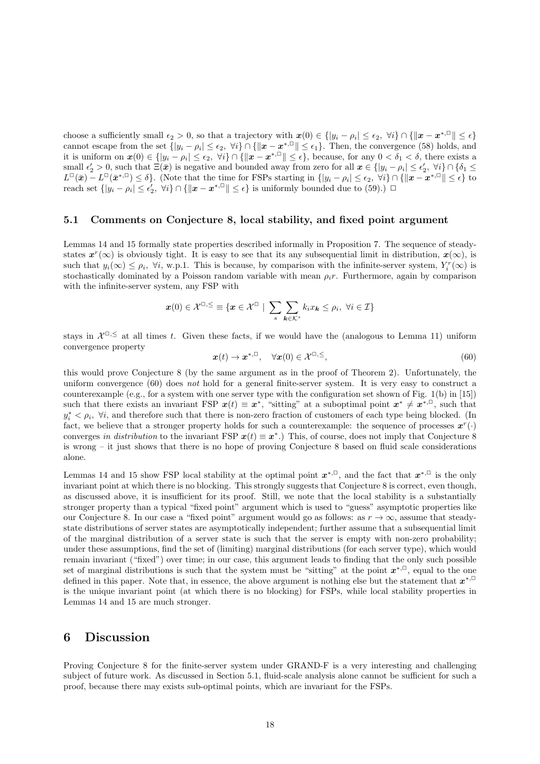choose a sufficiently small  $\epsilon_2 > 0$ , so that a trajectory with  $\mathbf{x}(0) \in \{ |y_i - \rho_i| \leq \epsilon_2, \forall i \} \cap \{ ||\mathbf{x} - \mathbf{x}^{*,\square}|| \leq \epsilon \}$ cannot escape from the set  $\{|y_i - \rho_i| \le \epsilon_2, \forall i\} \cap {\|x - x^{*,\Box}\| \le \epsilon_1\}.$  Then, the convergence (58) holds, and it is uniform on  $\mathbf{x}(0) \in \{ |y_i - \rho_i| \le \epsilon_2, \forall i \} \cap \{ ||\mathbf{x} - \mathbf{x}^{*,\square}|| \le \epsilon \},$  because, for any  $0 < \delta_1 < \delta$ , there exists a small  $\epsilon'_2 > 0$ , such that  $\Xi(\bar{x})$  is negative and bounded away from zero for all  $x \in \{|y_i - \rho_i| \leq \epsilon'_2, \forall i\} \cap \{\delta_1 \leq \delta_2\}$  $L^{\mathbb{C}}(\bar{x}) - L^{\mathbb{C}}(\bar{x}^{*,\mathbb{C}}) \le \delta$ . (Note that the time for FSPs starting in  $\{|y_i - \rho_i| \le \epsilon_2, \forall i\} \cap {\|x - x^{*,\mathbb{C}}\| \le \epsilon}$  to reach set  $\{|y_i - \rho_i| \leq \epsilon'_2, \forall i\} \cap {\|x - x^{*,\square}\| \leq \epsilon}$  is uniformly bounded due to (59).)  $\square$ 

#### 5.1 Comments on Conjecture 8, local stability, and fixed point argument

Lemmas 14 and 15 formally state properties described informally in Proposition 7. The sequence of steadystates  $x^r(\infty)$  is obviously tight. It is easy to see that its any subsequential limit in distribution,  $x(\infty)$ , is such that  $y_i(\infty) \leq \rho_i$ ,  $\forall i$ , w.p.1. This is because, by comparison with the infinite-server system,  $Y_i^r(\infty)$  is stochastically dominated by a Poisson random variable with mean  $\rho_i r$ . Furthermore, again by comparison with the infinite-server system, any FSP with

$$
\boldsymbol{x}(0) \in \mathcal{X}^{\square,\le} \equiv \{\boldsymbol{x} \in \mathcal{X}^{\square} \mid \sum_{s} \sum_{\boldsymbol{k} \in \mathcal{K}^{s}} k_{i} x_{\boldsymbol{k}} \leq \rho_{i}, \ \forall i \in \mathcal{I}\}\
$$

stays in  $\mathcal{X}^{\square,\leq}$  at all times t. Given these facts, if we would have the (analogous to Lemma 11) uniform convergence property

$$
\boldsymbol{x}(t) \to \boldsymbol{x}^{*,\square}, \quad \forall \boldsymbol{x}(0) \in \mathcal{X}^{\square,\leq}, \tag{60}
$$

this would prove Conjecture 8 (by the same argument as in the proof of Theorem 2). Unfortunately, the uniform convergence (60) does not hold for a general finite-server system. It is very easy to construct a counterexample (e.g., for a system with one server type with the configuration set shown of Fig. 1(b) in [15]) such that there exists an invariant FSP  $x(t) \equiv x^*$ , "sitting" at a suboptimal point  $x^* \neq x^{*,\Box}$ , such that  $y_i^* < \rho_i$ ,  $\forall i$ , and therefore such that there is non-zero fraction of customers of each type being blocked. (In fact, we believe that a stronger property holds for such a counterexample: the sequence of processes  $x^r(\cdot)$ converges in distribution to the invariant FSP  $x(t) \equiv x^*$ .) This, of course, does not imply that Conjecture 8 is wrong – it just shows that there is no hope of proving Conjecture 8 based on fluid scale considerations alone.

Lemmas 14 and 15 show FSP local stability at the optimal point  $x^{*,\square}$ , and the fact that  $x^{*,\square}$  is the only invariant point at which there is no blocking. This strongly suggests that Conjecture 8 is correct, even though, as discussed above, it is insufficient for its proof. Still, we note that the local stability is a substantially stronger property than a typical "fixed point" argument which is used to "guess" asymptotic properties like our Conjecture 8. In our case a "fixed point" argument would go as follows: as  $r \to \infty$ , assume that steadystate distributions of server states are asymptotically independent; further assume that a subsequential limit of the marginal distribution of a server state is such that the server is empty with non-zero probability; under these assumptions, find the set of (limiting) marginal distributions (for each server type), which would remain invariant ("fixed") over time; in our case, this argument leads to finding that the only such possible set of marginal distributions is such that the system must be "sitting" at the point  $x^{*,\Box}$ , equal to the one defined in this paper. Note that, in essence, the above argument is nothing else but the statement that  $x^{*,\square}$ is the unique invariant point (at which there is no blocking) for FSPs, while local stability properties in Lemmas 14 and 15 are much stronger.

### 6 Discussion

Proving Conjecture 8 for the finite-server system under GRAND-F is a very interesting and challenging subject of future work. As discussed in Section 5.1, fluid-scale analysis alone cannot be sufficient for such a proof, because there may exists sub-optimal points, which are invariant for the FSPs.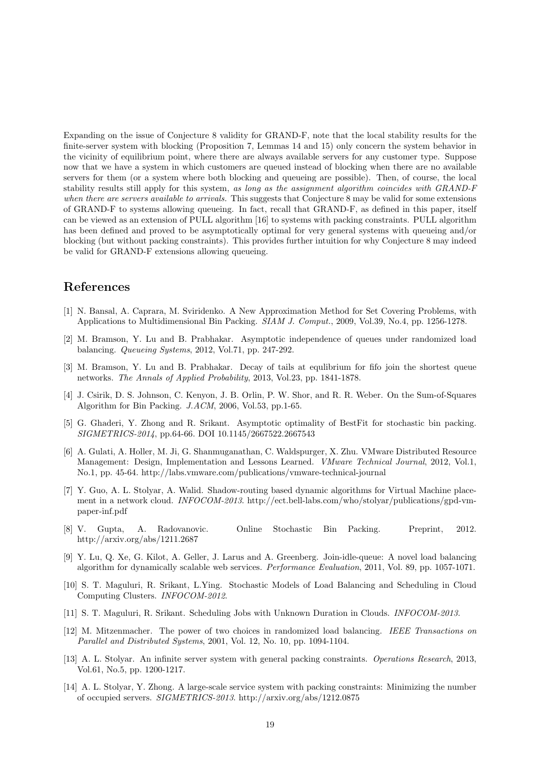Expanding on the issue of Conjecture 8 validity for GRAND-F, note that the local stability results for the finite-server system with blocking (Proposition 7, Lemmas 14 and 15) only concern the system behavior in the vicinity of equilibrium point, where there are always available servers for any customer type. Suppose now that we have a system in which customers are queued instead of blocking when there are no available servers for them (or a system where both blocking and queueing are possible). Then, of course, the local stability results still apply for this system, as long as the assignment algorithm coincides with GRAND-F when there are servers available to arrivals. This suggests that Conjecture 8 may be valid for some extensions of GRAND-F to systems allowing queueing. In fact, recall that GRAND-F, as defined in this paper, itself can be viewed as an extension of PULL algorithm [16] to systems with packing constraints. PULL algorithm has been defined and proved to be asymptotically optimal for very general systems with queueing and/or blocking (but without packing constraints). This provides further intuition for why Conjecture 8 may indeed be valid for GRAND-F extensions allowing queueing.

## References

- [1] N. Bansal, A. Caprara, M. Sviridenko. A New Approximation Method for Set Covering Problems, with Applications to Multidimensional Bin Packing. SIAM J. Comput., 2009, Vol.39, No.4, pp. 1256-1278.
- [2] M. Bramson, Y. Lu and B. Prabhakar. Asymptotic independence of queues under randomized load balancing. Queueing Systems, 2012, Vol.71, pp. 247-292.
- [3] M. Bramson, Y. Lu and B. Prabhakar. Decay of tails at equlibrium for fifo join the shortest queue networks. The Annals of Applied Probability, 2013, Vol.23, pp. 1841-1878.
- [4] J. Csirik, D. S. Johnson, C. Kenyon, J. B. Orlin, P. W. Shor, and R. R. Weber. On the Sum-of-Squares Algorithm for Bin Packing. J.ACM, 2006, Vol.53, pp.1-65.
- [5] G. Ghaderi, Y. Zhong and R. Srikant. Asymptotic optimality of BestFit for stochastic bin packing. SIGMETRICS-2014, pp.64-66. DOI 10.1145/2667522.2667543
- [6] A. Gulati, A. Holler, M. Ji, G. Shanmuganathan, C. Waldspurger, X. Zhu. VMware Distributed Resource Management: Design, Implementation and Lessons Learned. VMware Technical Journal, 2012, Vol.1, No.1, pp. 45-64. http://labs.vmware.com/publications/vmware-technical-journal
- [7] Y. Guo, A. L. Stolyar, A. Walid. Shadow-routing based dynamic algorithms for Virtual Machine placement in a network cloud. INFOCOM-2013. http://ect.bell-labs.com/who/stolyar/publications/gpd-vmpaper-inf.pdf
- [8] V. Gupta, A. Radovanovic. Online Stochastic Bin Packing. Preprint, 2012. http://arxiv.org/abs/1211.2687
- [9] Y. Lu, Q. Xe, G. Kilot, A. Geller, J. Larus and A. Greenberg. Join-idle-queue: A novel load balancing algorithm for dynamically scalable web services. Performance Evaluation, 2011, Vol. 89, pp. 1057-1071.
- [10] S. T. Maguluri, R. Srikant, L.Ying. Stochastic Models of Load Balancing and Scheduling in Cloud Computing Clusters. INFOCOM-2012.
- [11] S. T. Maguluri, R. Srikant. Scheduling Jobs with Unknown Duration in Clouds. INFOCOM-2013.
- [12] M. Mitzenmacher. The power of two choices in randomized load balancing. IEEE Transactions on Parallel and Distributed Systems, 2001, Vol. 12, No. 10, pp. 1094-1104.
- [13] A. L. Stolyar. An infinite server system with general packing constraints. Operations Research, 2013, Vol.61, No.5, pp. 1200-1217.
- [14] A. L. Stolyar, Y. Zhong. A large-scale service system with packing constraints: Minimizing the number of occupied servers. SIGMETRICS-2013. http://arxiv.org/abs/1212.0875